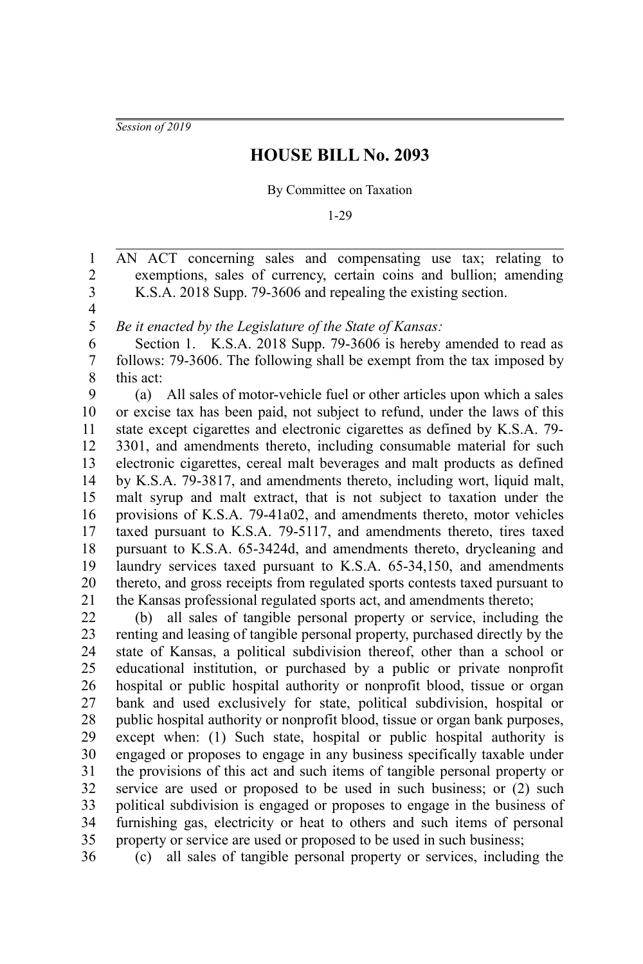*Session of 2019*

## **HOUSE BILL No. 2093**

## By Committee on Taxation

1-29

AN ACT concerning sales and compensating use tax; relating to exemptions, sales of currency, certain coins and bullion; amending K.S.A. 2018 Supp. 79-3606 and repealing the existing section. 1 2 3

4 5

36

*Be it enacted by the Legislature of the State of Kansas:*

Section 1. K.S.A. 2018 Supp. 79-3606 is hereby amended to read as follows: 79-3606. The following shall be exempt from the tax imposed by this act: 6 7 8

(a) All sales of motor-vehicle fuel or other articles upon which a sales or excise tax has been paid, not subject to refund, under the laws of this state except cigarettes and electronic cigarettes as defined by K.S.A. 79- 3301, and amendments thereto, including consumable material for such electronic cigarettes, cereal malt beverages and malt products as defined by K.S.A. 79-3817, and amendments thereto, including wort, liquid malt, malt syrup and malt extract, that is not subject to taxation under the provisions of K.S.A. 79-41a02, and amendments thereto, motor vehicles taxed pursuant to K.S.A. 79-5117, and amendments thereto, tires taxed pursuant to K.S.A. 65-3424d, and amendments thereto, drycleaning and laundry services taxed pursuant to K.S.A. 65-34,150, and amendments thereto, and gross receipts from regulated sports contests taxed pursuant to the Kansas professional regulated sports act, and amendments thereto; 9 10 11 12 13 14 15 16 17 18 19 20 21

(b) all sales of tangible personal property or service, including the renting and leasing of tangible personal property, purchased directly by the state of Kansas, a political subdivision thereof, other than a school or educational institution, or purchased by a public or private nonprofit hospital or public hospital authority or nonprofit blood, tissue or organ bank and used exclusively for state, political subdivision, hospital or public hospital authority or nonprofit blood, tissue or organ bank purposes, except when: (1) Such state, hospital or public hospital authority is engaged or proposes to engage in any business specifically taxable under the provisions of this act and such items of tangible personal property or service are used or proposed to be used in such business; or (2) such political subdivision is engaged or proposes to engage in the business of furnishing gas, electricity or heat to others and such items of personal property or service are used or proposed to be used in such business; 22 23 24 25 26 27 28 29 30 31 32 33 34 35

(c) all sales of tangible personal property or services, including the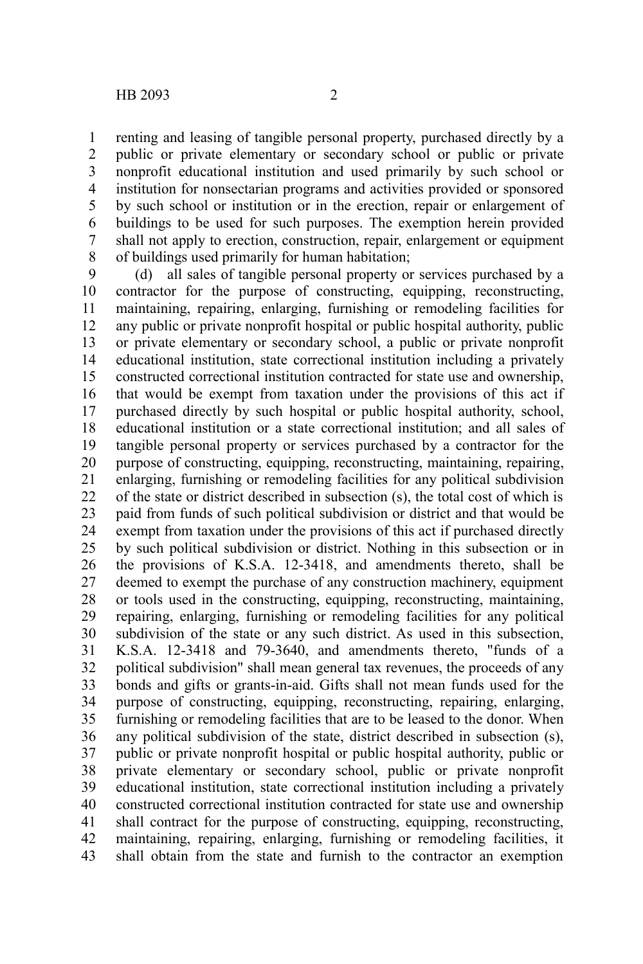renting and leasing of tangible personal property, purchased directly by a public or private elementary or secondary school or public or private nonprofit educational institution and used primarily by such school or institution for nonsectarian programs and activities provided or sponsored by such school or institution or in the erection, repair or enlargement of buildings to be used for such purposes. The exemption herein provided shall not apply to erection, construction, repair, enlargement or equipment of buildings used primarily for human habitation; 1 2 3 4 5 6 7 8

(d) all sales of tangible personal property or services purchased by a contractor for the purpose of constructing, equipping, reconstructing, maintaining, repairing, enlarging, furnishing or remodeling facilities for any public or private nonprofit hospital or public hospital authority, public or private elementary or secondary school, a public or private nonprofit educational institution, state correctional institution including a privately constructed correctional institution contracted for state use and ownership, that would be exempt from taxation under the provisions of this act if purchased directly by such hospital or public hospital authority, school, educational institution or a state correctional institution; and all sales of tangible personal property or services purchased by a contractor for the purpose of constructing, equipping, reconstructing, maintaining, repairing, enlarging, furnishing or remodeling facilities for any political subdivision of the state or district described in subsection (s), the total cost of which is paid from funds of such political subdivision or district and that would be exempt from taxation under the provisions of this act if purchased directly by such political subdivision or district. Nothing in this subsection or in the provisions of K.S.A. 12-3418, and amendments thereto, shall be deemed to exempt the purchase of any construction machinery, equipment or tools used in the constructing, equipping, reconstructing, maintaining, repairing, enlarging, furnishing or remodeling facilities for any political subdivision of the state or any such district. As used in this subsection, K.S.A. 12-3418 and 79-3640, and amendments thereto, "funds of a political subdivision" shall mean general tax revenues, the proceeds of any bonds and gifts or grants-in-aid. Gifts shall not mean funds used for the purpose of constructing, equipping, reconstructing, repairing, enlarging, furnishing or remodeling facilities that are to be leased to the donor. When any political subdivision of the state, district described in subsection (s), public or private nonprofit hospital or public hospital authority, public or private elementary or secondary school, public or private nonprofit educational institution, state correctional institution including a privately constructed correctional institution contracted for state use and ownership shall contract for the purpose of constructing, equipping, reconstructing, maintaining, repairing, enlarging, furnishing or remodeling facilities, it shall obtain from the state and furnish to the contractor an exemption 9 10 11 12 13 14 15 16 17 18 19 20 21 22 23 24 25 26 27 28 29 30 31 32 33 34 35 36 37 38 39 40 41 42 43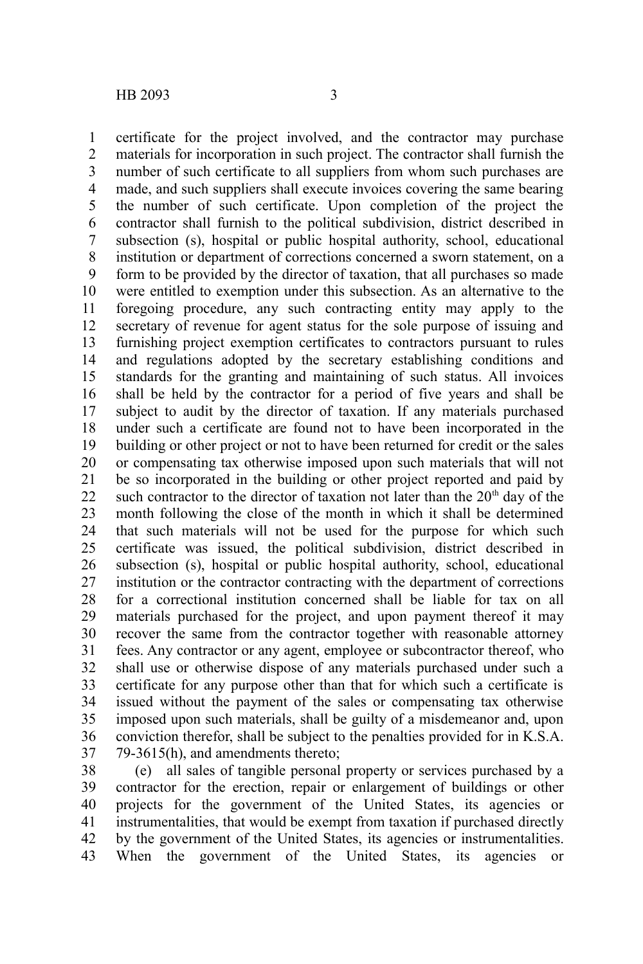certificate for the project involved, and the contractor may purchase materials for incorporation in such project. The contractor shall furnish the number of such certificate to all suppliers from whom such purchases are made, and such suppliers shall execute invoices covering the same bearing the number of such certificate. Upon completion of the project the contractor shall furnish to the political subdivision, district described in subsection (s), hospital or public hospital authority, school, educational institution or department of corrections concerned a sworn statement, on a form to be provided by the director of taxation, that all purchases so made were entitled to exemption under this subsection. As an alternative to the foregoing procedure, any such contracting entity may apply to the secretary of revenue for agent status for the sole purpose of issuing and furnishing project exemption certificates to contractors pursuant to rules and regulations adopted by the secretary establishing conditions and standards for the granting and maintaining of such status. All invoices shall be held by the contractor for a period of five years and shall be subject to audit by the director of taxation. If any materials purchased under such a certificate are found not to have been incorporated in the building or other project or not to have been returned for credit or the sales or compensating tax otherwise imposed upon such materials that will not be so incorporated in the building or other project reported and paid by such contractor to the director of taxation not later than the  $20<sup>th</sup>$  day of the month following the close of the month in which it shall be determined that such materials will not be used for the purpose for which such certificate was issued, the political subdivision, district described in subsection (s), hospital or public hospital authority, school, educational institution or the contractor contracting with the department of corrections for a correctional institution concerned shall be liable for tax on all materials purchased for the project, and upon payment thereof it may recover the same from the contractor together with reasonable attorney fees. Any contractor or any agent, employee or subcontractor thereof, who shall use or otherwise dispose of any materials purchased under such a certificate for any purpose other than that for which such a certificate is issued without the payment of the sales or compensating tax otherwise imposed upon such materials, shall be guilty of a misdemeanor and, upon conviction therefor, shall be subject to the penalties provided for in K.S.A. 79-3615(h), and amendments thereto; 1 2 3 4 5 6 7 8 9 10 11 12 13 14 15 16 17 18 19 20 21 22 23 24 25 26 27 28 29 30 31 32 33 34 35 36 37

(e) all sales of tangible personal property or services purchased by a contractor for the erection, repair or enlargement of buildings or other projects for the government of the United States, its agencies or instrumentalities, that would be exempt from taxation if purchased directly by the government of the United States, its agencies or instrumentalities. When the government of the United States, its agencies or 38 39 40 41 42 43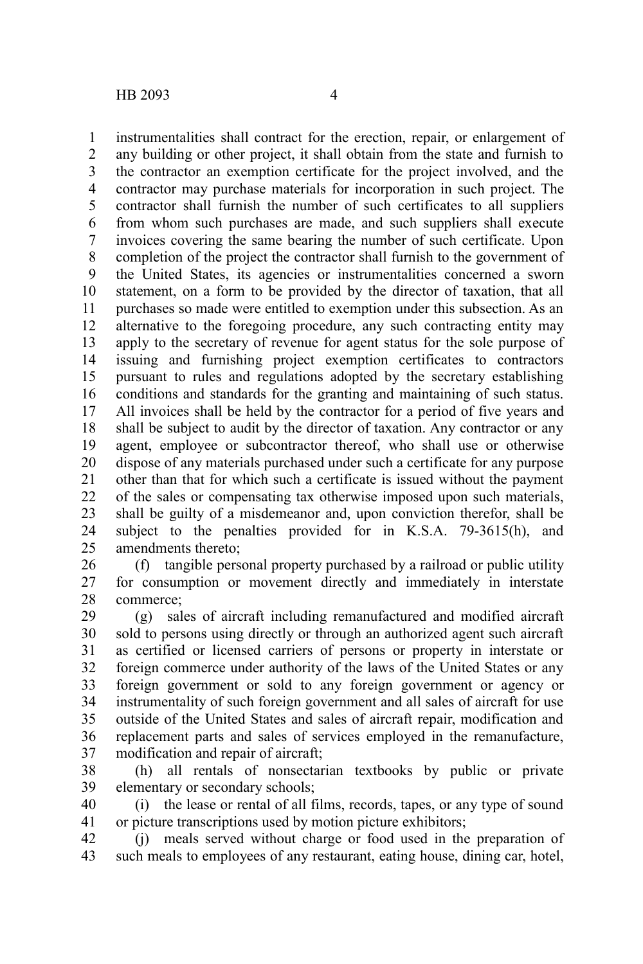instrumentalities shall contract for the erection, repair, or enlargement of any building or other project, it shall obtain from the state and furnish to the contractor an exemption certificate for the project involved, and the contractor may purchase materials for incorporation in such project. The contractor shall furnish the number of such certificates to all suppliers from whom such purchases are made, and such suppliers shall execute invoices covering the same bearing the number of such certificate. Upon completion of the project the contractor shall furnish to the government of the United States, its agencies or instrumentalities concerned a sworn statement, on a form to be provided by the director of taxation, that all purchases so made were entitled to exemption under this subsection. As an alternative to the foregoing procedure, any such contracting entity may apply to the secretary of revenue for agent status for the sole purpose of issuing and furnishing project exemption certificates to contractors pursuant to rules and regulations adopted by the secretary establishing conditions and standards for the granting and maintaining of such status. All invoices shall be held by the contractor for a period of five years and shall be subject to audit by the director of taxation. Any contractor or any agent, employee or subcontractor thereof, who shall use or otherwise dispose of any materials purchased under such a certificate for any purpose other than that for which such a certificate is issued without the payment of the sales or compensating tax otherwise imposed upon such materials, shall be guilty of a misdemeanor and, upon conviction therefor, shall be subject to the penalties provided for in K.S.A. 79-3615(h), and amendments thereto; 1 2 3 4 5 6 7 8 9 10 11 12 13 14 15 16 17 18 19 20 21 22 23 24 25

(f) tangible personal property purchased by a railroad or public utility for consumption or movement directly and immediately in interstate commerce; 26 27 28

(g) sales of aircraft including remanufactured and modified aircraft sold to persons using directly or through an authorized agent such aircraft as certified or licensed carriers of persons or property in interstate or foreign commerce under authority of the laws of the United States or any foreign government or sold to any foreign government or agency or instrumentality of such foreign government and all sales of aircraft for use outside of the United States and sales of aircraft repair, modification and replacement parts and sales of services employed in the remanufacture, modification and repair of aircraft; 29 30 31 32 33 34 35 36 37

(h) all rentals of nonsectarian textbooks by public or private elementary or secondary schools; 38 39

(i) the lease or rental of all films, records, tapes, or any type of sound or picture transcriptions used by motion picture exhibitors; 40 41

(j) meals served without charge or food used in the preparation of such meals to employees of any restaurant, eating house, dining car, hotel, 42 43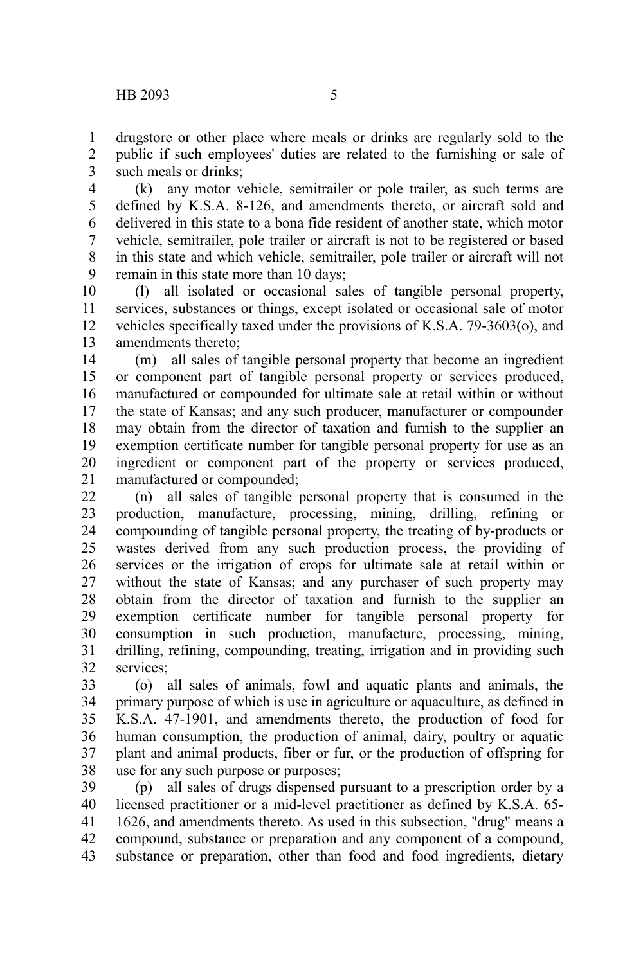drugstore or other place where meals or drinks are regularly sold to the public if such employees' duties are related to the furnishing or sale of such meals or drinks; 1 2 3

(k) any motor vehicle, semitrailer or pole trailer, as such terms are defined by K.S.A. 8-126, and amendments thereto, or aircraft sold and delivered in this state to a bona fide resident of another state, which motor vehicle, semitrailer, pole trailer or aircraft is not to be registered or based in this state and which vehicle, semitrailer, pole trailer or aircraft will not remain in this state more than 10 days; 4 5 6 7 8 9

(l) all isolated or occasional sales of tangible personal property, services, substances or things, except isolated or occasional sale of motor vehicles specifically taxed under the provisions of K.S.A. 79-3603(o), and amendments thereto; 10 11 12 13

(m) all sales of tangible personal property that become an ingredient or component part of tangible personal property or services produced, manufactured or compounded for ultimate sale at retail within or without the state of Kansas; and any such producer, manufacturer or compounder may obtain from the director of taxation and furnish to the supplier an exemption certificate number for tangible personal property for use as an ingredient or component part of the property or services produced, manufactured or compounded; 14 15 16 17 18 19 20 21

(n) all sales of tangible personal property that is consumed in the production, manufacture, processing, mining, drilling, refining or compounding of tangible personal property, the treating of by-products or wastes derived from any such production process, the providing of services or the irrigation of crops for ultimate sale at retail within or without the state of Kansas; and any purchaser of such property may obtain from the director of taxation and furnish to the supplier an exemption certificate number for tangible personal property for consumption in such production, manufacture, processing, mining, drilling, refining, compounding, treating, irrigation and in providing such services; 22 23 24 25 26 27 28 29 30 31 32

(o) all sales of animals, fowl and aquatic plants and animals, the primary purpose of which is use in agriculture or aquaculture, as defined in K.S.A. 47-1901, and amendments thereto, the production of food for human consumption, the production of animal, dairy, poultry or aquatic plant and animal products, fiber or fur, or the production of offspring for use for any such purpose or purposes; 33 34 35 36 37 38

(p) all sales of drugs dispensed pursuant to a prescription order by a licensed practitioner or a mid-level practitioner as defined by K.S.A. 65- 1626, and amendments thereto. As used in this subsection, "drug" means a compound, substance or preparation and any component of a compound, substance or preparation, other than food and food ingredients, dietary 39 40 41 42 43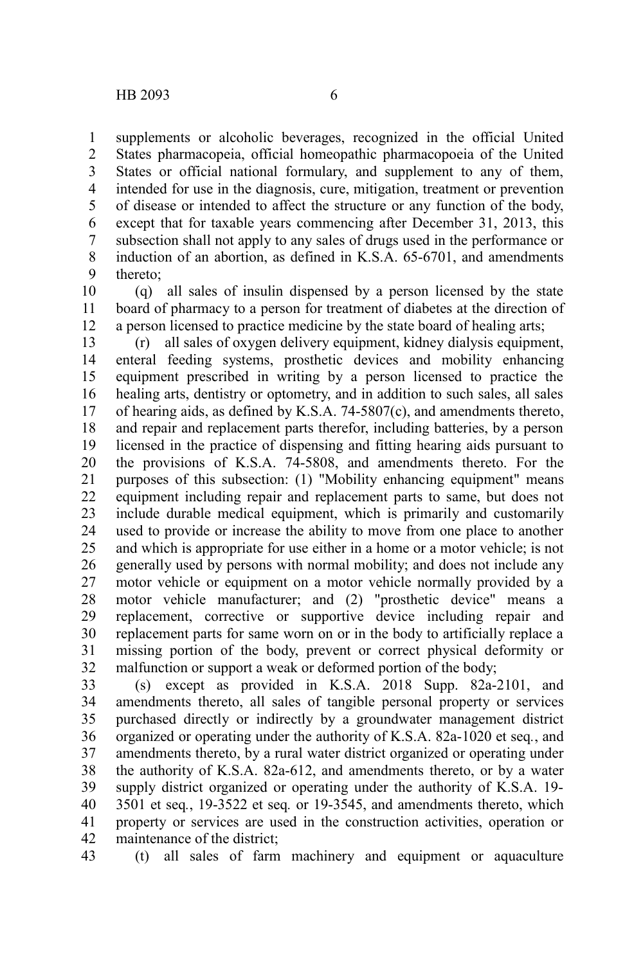43

supplements or alcoholic beverages, recognized in the official United States pharmacopeia, official homeopathic pharmacopoeia of the United States or official national formulary, and supplement to any of them, intended for use in the diagnosis, cure, mitigation, treatment or prevention of disease or intended to affect the structure or any function of the body, except that for taxable years commencing after December 31, 2013, this subsection shall not apply to any sales of drugs used in the performance or induction of an abortion, as defined in K.S.A. 65-6701, and amendments thereto; 1 2 3 4 5 6 7 8 9

(q) all sales of insulin dispensed by a person licensed by the state board of pharmacy to a person for treatment of diabetes at the direction of a person licensed to practice medicine by the state board of healing arts; 10 11 12

(r) all sales of oxygen delivery equipment, kidney dialysis equipment, enteral feeding systems, prosthetic devices and mobility enhancing equipment prescribed in writing by a person licensed to practice the healing arts, dentistry or optometry, and in addition to such sales, all sales of hearing aids, as defined by K.S.A. 74-5807(c), and amendments thereto, and repair and replacement parts therefor, including batteries, by a person licensed in the practice of dispensing and fitting hearing aids pursuant to the provisions of K.S.A. 74-5808, and amendments thereto. For the purposes of this subsection: (1) "Mobility enhancing equipment" means equipment including repair and replacement parts to same, but does not include durable medical equipment, which is primarily and customarily used to provide or increase the ability to move from one place to another and which is appropriate for use either in a home or a motor vehicle; is not generally used by persons with normal mobility; and does not include any motor vehicle or equipment on a motor vehicle normally provided by a motor vehicle manufacturer; and (2) "prosthetic device" means a replacement, corrective or supportive device including repair and replacement parts for same worn on or in the body to artificially replace a missing portion of the body, prevent or correct physical deformity or malfunction or support a weak or deformed portion of the body; 13 14 15 16 17 18 19 20 21 22 23 24 25 26 27 28 29 30 31 32

(s) except as provided in K.S.A. 2018 Supp. 82a-2101, and amendments thereto, all sales of tangible personal property or services purchased directly or indirectly by a groundwater management district organized or operating under the authority of K.S.A. 82a-1020 et seq*.*, and amendments thereto, by a rural water district organized or operating under the authority of K.S.A. 82a-612, and amendments thereto, or by a water supply district organized or operating under the authority of K.S.A. 19- 3501 et seq*.*, 19-3522 et seq*.* or 19-3545, and amendments thereto, which property or services are used in the construction activities, operation or maintenance of the district; 33 34 35 36 37 38 39 40 41 42

(t) all sales of farm machinery and equipment or aquaculture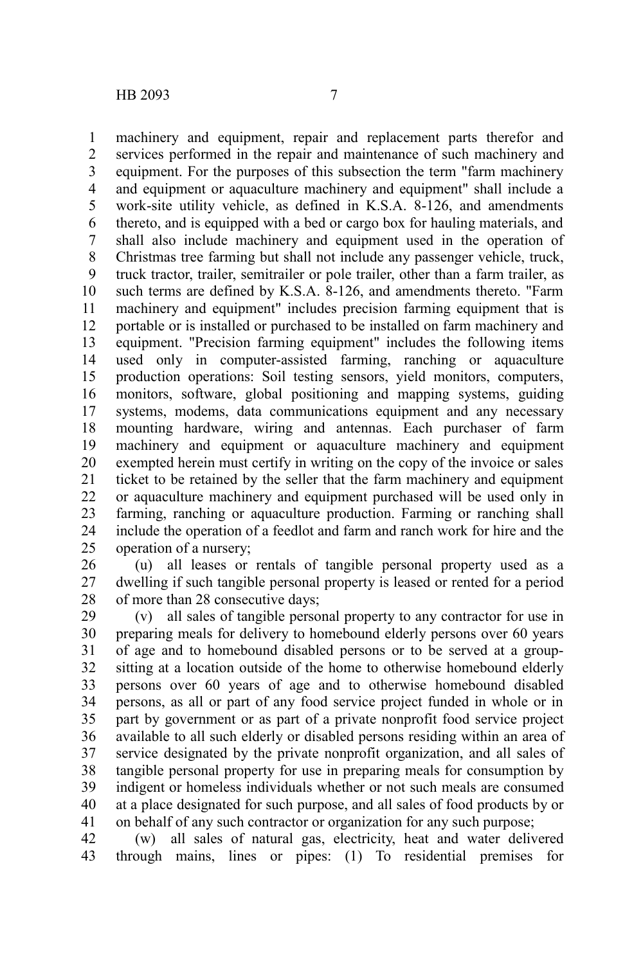machinery and equipment, repair and replacement parts therefor and services performed in the repair and maintenance of such machinery and equipment. For the purposes of this subsection the term "farm machinery and equipment or aquaculture machinery and equipment" shall include a work-site utility vehicle, as defined in K.S.A. 8-126, and amendments thereto, and is equipped with a bed or cargo box for hauling materials, and shall also include machinery and equipment used in the operation of Christmas tree farming but shall not include any passenger vehicle, truck, truck tractor, trailer, semitrailer or pole trailer, other than a farm trailer, as such terms are defined by K.S.A. 8-126, and amendments thereto. "Farm machinery and equipment" includes precision farming equipment that is portable or is installed or purchased to be installed on farm machinery and equipment. "Precision farming equipment" includes the following items used only in computer-assisted farming, ranching or aquaculture production operations: Soil testing sensors, yield monitors, computers, monitors, software, global positioning and mapping systems, guiding systems, modems, data communications equipment and any necessary mounting hardware, wiring and antennas. Each purchaser of farm machinery and equipment or aquaculture machinery and equipment exempted herein must certify in writing on the copy of the invoice or sales ticket to be retained by the seller that the farm machinery and equipment or aquaculture machinery and equipment purchased will be used only in farming, ranching or aquaculture production. Farming or ranching shall include the operation of a feedlot and farm and ranch work for hire and the operation of a nursery; 1 2 3 4 5 6 7 8 9 10 11 12 13 14 15 16 17 18 19 20 21 22 23 24 25

(u) all leases or rentals of tangible personal property used as a dwelling if such tangible personal property is leased or rented for a period of more than 28 consecutive days; 26 27 28

(v) all sales of tangible personal property to any contractor for use in preparing meals for delivery to homebound elderly persons over 60 years of age and to homebound disabled persons or to be served at a groupsitting at a location outside of the home to otherwise homebound elderly persons over 60 years of age and to otherwise homebound disabled persons, as all or part of any food service project funded in whole or in part by government or as part of a private nonprofit food service project available to all such elderly or disabled persons residing within an area of service designated by the private nonprofit organization, and all sales of tangible personal property for use in preparing meals for consumption by indigent or homeless individuals whether or not such meals are consumed at a place designated for such purpose, and all sales of food products by or on behalf of any such contractor or organization for any such purpose; 29 30 31 32 33 34 35 36 37 38 39 40 41

(w) all sales of natural gas, electricity, heat and water delivered through mains, lines or pipes: (1) To residential premises for 42 43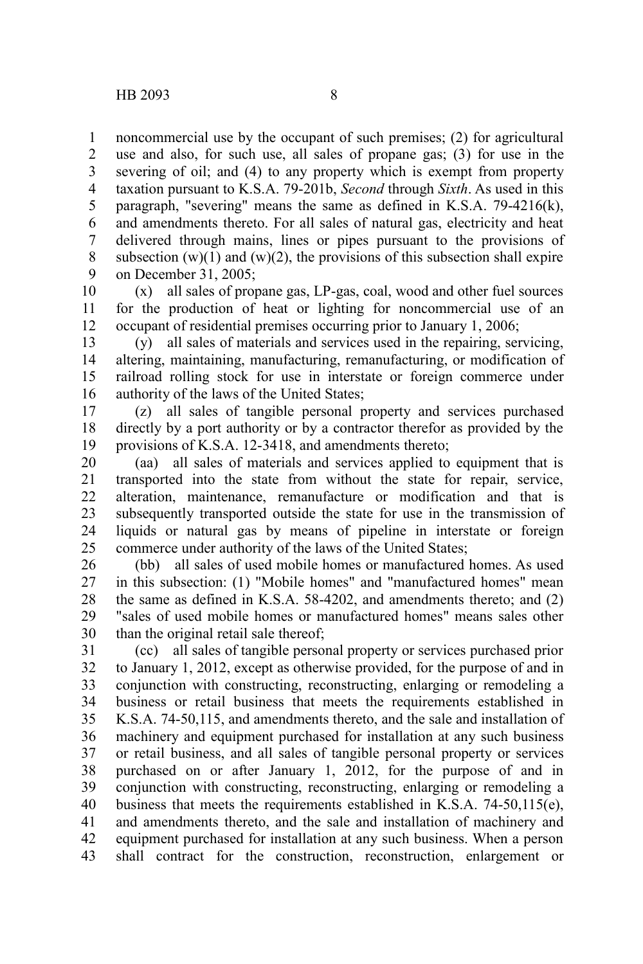noncommercial use by the occupant of such premises; (2) for agricultural use and also, for such use, all sales of propane gas; (3) for use in the severing of oil; and (4) to any property which is exempt from property taxation pursuant to K.S.A. 79-201b, *Second* through *Sixth*. As used in this paragraph, "severing" means the same as defined in K.S.A. 79-4216(k), and amendments thereto. For all sales of natural gas, electricity and heat delivered through mains, lines or pipes pursuant to the provisions of subsection  $(w)(1)$  and  $(w)(2)$ , the provisions of this subsection shall expire on December 31, 2005; 1 2 3 4 5 6 7 8 9

(x) all sales of propane gas, LP-gas, coal, wood and other fuel sources for the production of heat or lighting for noncommercial use of an occupant of residential premises occurring prior to January 1, 2006; 10 11 12

(y) all sales of materials and services used in the repairing, servicing, altering, maintaining, manufacturing, remanufacturing, or modification of railroad rolling stock for use in interstate or foreign commerce under authority of the laws of the United States; 13 14 15 16

(z) all sales of tangible personal property and services purchased directly by a port authority or by a contractor therefor as provided by the provisions of K.S.A. 12-3418, and amendments thereto; 17 18 19

(aa) all sales of materials and services applied to equipment that is transported into the state from without the state for repair, service, alteration, maintenance, remanufacture or modification and that is subsequently transported outside the state for use in the transmission of liquids or natural gas by means of pipeline in interstate or foreign commerce under authority of the laws of the United States; 20 21 22 23 24 25

(bb) all sales of used mobile homes or manufactured homes. As used in this subsection: (1) "Mobile homes" and "manufactured homes" mean the same as defined in K.S.A. 58-4202, and amendments thereto; and (2) "sales of used mobile homes or manufactured homes" means sales other than the original retail sale thereof; 26 27 28 29 30

(cc) all sales of tangible personal property or services purchased prior to January 1, 2012, except as otherwise provided, for the purpose of and in conjunction with constructing, reconstructing, enlarging or remodeling a business or retail business that meets the requirements established in K.S.A. 74-50,115, and amendments thereto, and the sale and installation of machinery and equipment purchased for installation at any such business or retail business, and all sales of tangible personal property or services purchased on or after January 1, 2012, for the purpose of and in conjunction with constructing, reconstructing, enlarging or remodeling a business that meets the requirements established in K.S.A. 74-50,115(e), and amendments thereto, and the sale and installation of machinery and equipment purchased for installation at any such business. When a person shall contract for the construction, reconstruction, enlargement or 31 32 33 34 35 36 37 38 39 40 41 42 43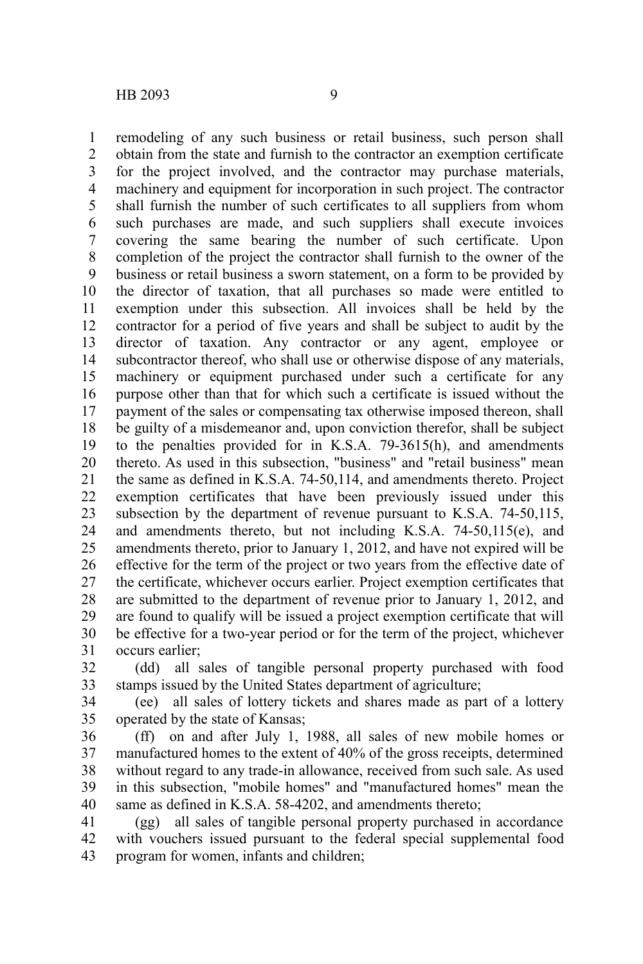remodeling of any such business or retail business, such person shall obtain from the state and furnish to the contractor an exemption certificate for the project involved, and the contractor may purchase materials, machinery and equipment for incorporation in such project. The contractor shall furnish the number of such certificates to all suppliers from whom such purchases are made, and such suppliers shall execute invoices covering the same bearing the number of such certificate. Upon completion of the project the contractor shall furnish to the owner of the business or retail business a sworn statement, on a form to be provided by the director of taxation, that all purchases so made were entitled to exemption under this subsection. All invoices shall be held by the contractor for a period of five years and shall be subject to audit by the director of taxation. Any contractor or any agent, employee or subcontractor thereof, who shall use or otherwise dispose of any materials, machinery or equipment purchased under such a certificate for any purpose other than that for which such a certificate is issued without the payment of the sales or compensating tax otherwise imposed thereon, shall be guilty of a misdemeanor and, upon conviction therefor, shall be subject to the penalties provided for in K.S.A. 79-3615(h), and amendments thereto. As used in this subsection, "business" and "retail business" mean the same as defined in K.S.A. 74-50,114, and amendments thereto. Project exemption certificates that have been previously issued under this subsection by the department of revenue pursuant to K.S.A. 74-50,115, and amendments thereto, but not including K.S.A. 74-50,115(e), and amendments thereto, prior to January 1, 2012, and have not expired will be effective for the term of the project or two years from the effective date of the certificate, whichever occurs earlier. Project exemption certificates that are submitted to the department of revenue prior to January 1, 2012, and are found to qualify will be issued a project exemption certificate that will be effective for a two-year period or for the term of the project, whichever occurs earlier; 1 2 3 4 5 6 7 8 9 10 11 12 13 14 15 16 17 18 19 20 21 22 23 24 25 26 27 28 29 30 31

(dd) all sales of tangible personal property purchased with food stamps issued by the United States department of agriculture; 32 33

(ee) all sales of lottery tickets and shares made as part of a lottery operated by the state of Kansas; 34 35

(ff) on and after July 1, 1988, all sales of new mobile homes or manufactured homes to the extent of 40% of the gross receipts, determined without regard to any trade-in allowance, received from such sale. As used in this subsection, "mobile homes" and "manufactured homes" mean the same as defined in K.S.A. 58-4202, and amendments thereto: 36 37 38 39 40

(gg) all sales of tangible personal property purchased in accordance with vouchers issued pursuant to the federal special supplemental food program for women, infants and children; 41 42 43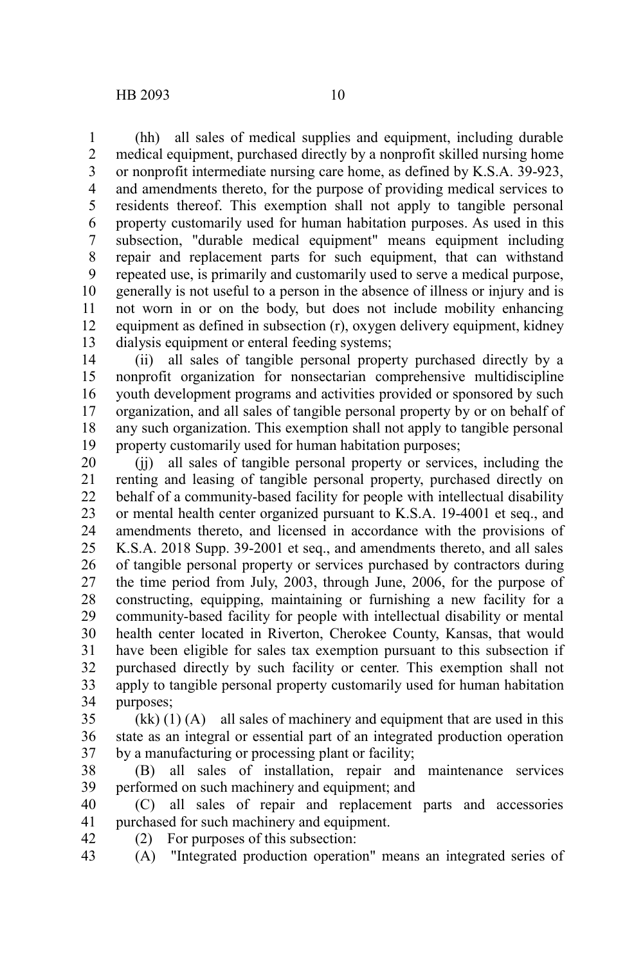(hh) all sales of medical supplies and equipment, including durable medical equipment, purchased directly by a nonprofit skilled nursing home or nonprofit intermediate nursing care home, as defined by K.S.A. 39-923, and amendments thereto, for the purpose of providing medical services to residents thereof. This exemption shall not apply to tangible personal property customarily used for human habitation purposes. As used in this subsection, "durable medical equipment" means equipment including repair and replacement parts for such equipment, that can withstand repeated use, is primarily and customarily used to serve a medical purpose, generally is not useful to a person in the absence of illness or injury and is not worn in or on the body, but does not include mobility enhancing equipment as defined in subsection (r), oxygen delivery equipment, kidney dialysis equipment or enteral feeding systems; 1 2 3 4 5 6 7 8 9 10 11 12 13

(ii) all sales of tangible personal property purchased directly by a nonprofit organization for nonsectarian comprehensive multidiscipline youth development programs and activities provided or sponsored by such organization, and all sales of tangible personal property by or on behalf of any such organization. This exemption shall not apply to tangible personal property customarily used for human habitation purposes; 14 15 16 17 18 19

(jj) all sales of tangible personal property or services, including the renting and leasing of tangible personal property, purchased directly on behalf of a community-based facility for people with intellectual disability or mental health center organized pursuant to K.S.A. 19-4001 et seq., and amendments thereto, and licensed in accordance with the provisions of K.S.A. 2018 Supp. 39-2001 et seq., and amendments thereto, and all sales of tangible personal property or services purchased by contractors during the time period from July, 2003, through June, 2006, for the purpose of constructing, equipping, maintaining or furnishing a new facility for a community-based facility for people with intellectual disability or mental health center located in Riverton, Cherokee County, Kansas, that would have been eligible for sales tax exemption pursuant to this subsection if purchased directly by such facility or center. This exemption shall not apply to tangible personal property customarily used for human habitation purposes; 20 21 22 23 24 25 26 27 28 29 30 31 32 33 34

 $(kk)$  (1) (A) all sales of machinery and equipment that are used in this state as an integral or essential part of an integrated production operation by a manufacturing or processing plant or facility; 35 36 37

(B) all sales of installation, repair and maintenance services performed on such machinery and equipment; and 38 39

(C) all sales of repair and replacement parts and accessories purchased for such machinery and equipment. 40 41

(2) For purposes of this subsection: 42

(A) "Integrated production operation" means an integrated series of 43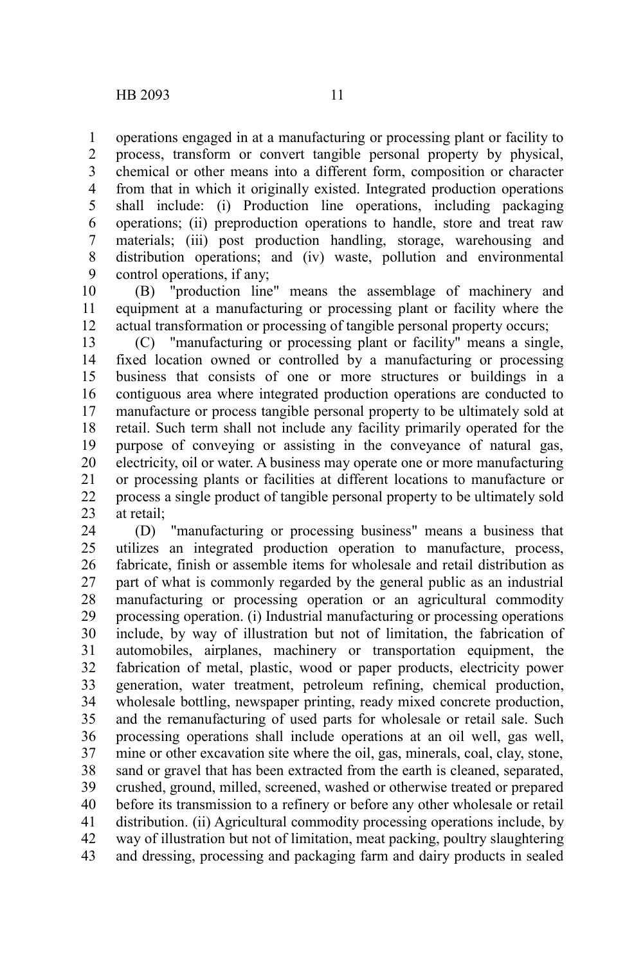operations engaged in at a manufacturing or processing plant or facility to process, transform or convert tangible personal property by physical, chemical or other means into a different form, composition or character from that in which it originally existed. Integrated production operations shall include: (i) Production line operations, including packaging operations; (ii) preproduction operations to handle, store and treat raw materials; (iii) post production handling, storage, warehousing and distribution operations; and (iv) waste, pollution and environmental control operations, if any; 1 2 3 4 5 6 7 8 9

(B) "production line" means the assemblage of machinery and equipment at a manufacturing or processing plant or facility where the actual transformation or processing of tangible personal property occurs; 10 11 12

(C) "manufacturing or processing plant or facility" means a single, fixed location owned or controlled by a manufacturing or processing business that consists of one or more structures or buildings in a contiguous area where integrated production operations are conducted to manufacture or process tangible personal property to be ultimately sold at retail. Such term shall not include any facility primarily operated for the purpose of conveying or assisting in the conveyance of natural gas, electricity, oil or water. A business may operate one or more manufacturing or processing plants or facilities at different locations to manufacture or process a single product of tangible personal property to be ultimately sold at retail; 13 14 15 16 17 18 19 20 21 22 23

(D) "manufacturing or processing business" means a business that utilizes an integrated production operation to manufacture, process, fabricate, finish or assemble items for wholesale and retail distribution as part of what is commonly regarded by the general public as an industrial manufacturing or processing operation or an agricultural commodity processing operation. (i) Industrial manufacturing or processing operations include, by way of illustration but not of limitation, the fabrication of automobiles, airplanes, machinery or transportation equipment, the fabrication of metal, plastic, wood or paper products, electricity power generation, water treatment, petroleum refining, chemical production, wholesale bottling, newspaper printing, ready mixed concrete production, and the remanufacturing of used parts for wholesale or retail sale. Such processing operations shall include operations at an oil well, gas well, mine or other excavation site where the oil, gas, minerals, coal, clay, stone, sand or gravel that has been extracted from the earth is cleaned, separated, crushed, ground, milled, screened, washed or otherwise treated or prepared before its transmission to a refinery or before any other wholesale or retail distribution. (ii) Agricultural commodity processing operations include, by way of illustration but not of limitation, meat packing, poultry slaughtering and dressing, processing and packaging farm and dairy products in sealed 24 25 26 27 28 29 30 31 32 33 34 35 36 37 38 39 40 41 42 43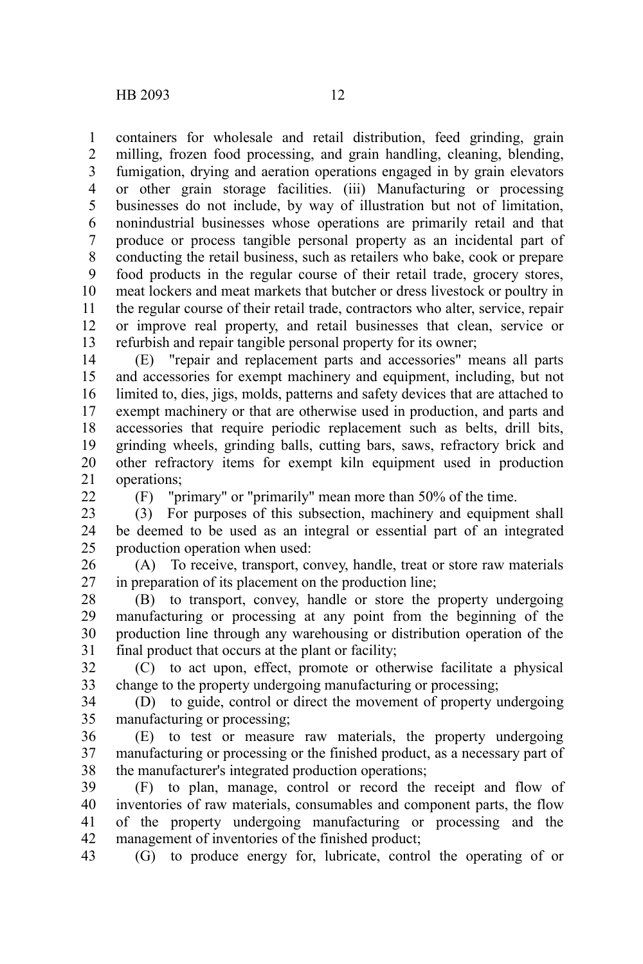containers for wholesale and retail distribution, feed grinding, grain milling, frozen food processing, and grain handling, cleaning, blending, fumigation, drying and aeration operations engaged in by grain elevators or other grain storage facilities. (iii) Manufacturing or processing businesses do not include, by way of illustration but not of limitation, nonindustrial businesses whose operations are primarily retail and that produce or process tangible personal property as an incidental part of conducting the retail business, such as retailers who bake, cook or prepare food products in the regular course of their retail trade, grocery stores, meat lockers and meat markets that butcher or dress livestock or poultry in the regular course of their retail trade, contractors who alter, service, repair or improve real property, and retail businesses that clean, service or refurbish and repair tangible personal property for its owner; 1 2 3 4 5 6 7 8 9 10 11 12 13

(E) "repair and replacement parts and accessories" means all parts and accessories for exempt machinery and equipment, including, but not limited to, dies, jigs, molds, patterns and safety devices that are attached to exempt machinery or that are otherwise used in production, and parts and accessories that require periodic replacement such as belts, drill bits, grinding wheels, grinding balls, cutting bars, saws, refractory brick and other refractory items for exempt kiln equipment used in production operations; 14 15 16 17 18 19 20 21

 $22$ 

(F) "primary" or "primarily" mean more than 50% of the time.

(3) For purposes of this subsection, machinery and equipment shall be deemed to be used as an integral or essential part of an integrated production operation when used: 23 24 25

(A) To receive, transport, convey, handle, treat or store raw materials in preparation of its placement on the production line; 26 27

(B) to transport, convey, handle or store the property undergoing manufacturing or processing at any point from the beginning of the production line through any warehousing or distribution operation of the final product that occurs at the plant or facility; 28 29 30 31

(C) to act upon, effect, promote or otherwise facilitate a physical change to the property undergoing manufacturing or processing; 32 33

(D) to guide, control or direct the movement of property undergoing manufacturing or processing; 34 35

(E) to test or measure raw materials, the property undergoing manufacturing or processing or the finished product, as a necessary part of the manufacturer's integrated production operations; 36 37 38

(F) to plan, manage, control or record the receipt and flow of inventories of raw materials, consumables and component parts, the flow of the property undergoing manufacturing or processing and the management of inventories of the finished product; 39 40 41 42

(G) to produce energy for, lubricate, control the operating of or 43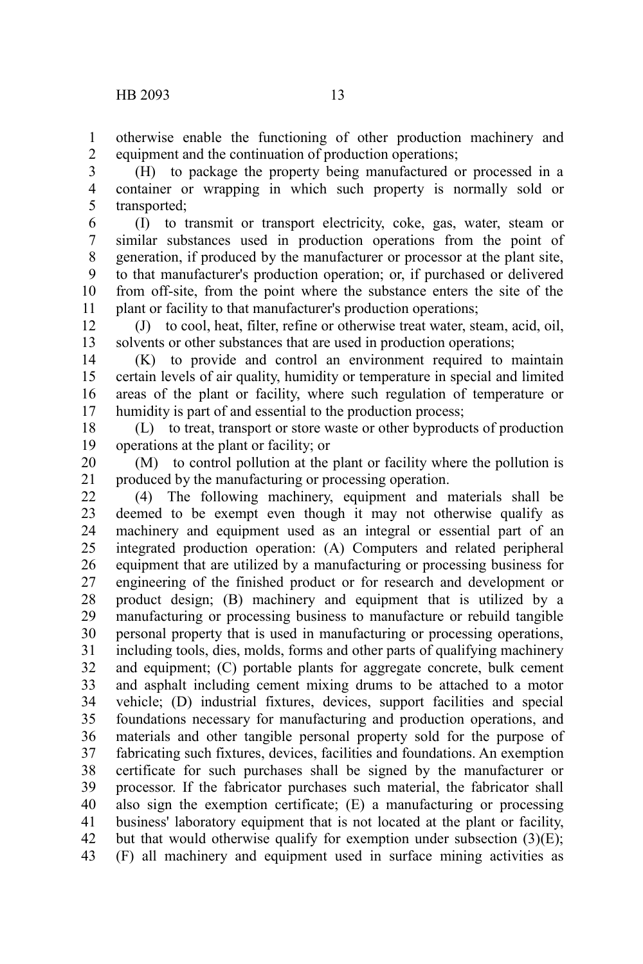otherwise enable the functioning of other production machinery and equipment and the continuation of production operations; 1 2

(H) to package the property being manufactured or processed in a container or wrapping in which such property is normally sold or transported; 3 4 5

(I) to transmit or transport electricity, coke, gas, water, steam or similar substances used in production operations from the point of generation, if produced by the manufacturer or processor at the plant site, to that manufacturer's production operation; or, if purchased or delivered from off-site, from the point where the substance enters the site of the plant or facility to that manufacturer's production operations; 6 7 8 9 10 11

(J) to cool, heat, filter, refine or otherwise treat water, steam, acid, oil, solvents or other substances that are used in production operations; 12 13

(K) to provide and control an environment required to maintain certain levels of air quality, humidity or temperature in special and limited areas of the plant or facility, where such regulation of temperature or humidity is part of and essential to the production process; 14 15 16 17

(L) to treat, transport or store waste or other byproducts of production operations at the plant or facility; or 18 19

(M) to control pollution at the plant or facility where the pollution is produced by the manufacturing or processing operation. 20 21

(4) The following machinery, equipment and materials shall be deemed to be exempt even though it may not otherwise qualify as machinery and equipment used as an integral or essential part of an integrated production operation: (A) Computers and related peripheral equipment that are utilized by a manufacturing or processing business for engineering of the finished product or for research and development or product design; (B) machinery and equipment that is utilized by a manufacturing or processing business to manufacture or rebuild tangible personal property that is used in manufacturing or processing operations, including tools, dies, molds, forms and other parts of qualifying machinery and equipment; (C) portable plants for aggregate concrete, bulk cement and asphalt including cement mixing drums to be attached to a motor vehicle; (D) industrial fixtures, devices, support facilities and special foundations necessary for manufacturing and production operations, and materials and other tangible personal property sold for the purpose of fabricating such fixtures, devices, facilities and foundations. An exemption certificate for such purchases shall be signed by the manufacturer or processor. If the fabricator purchases such material, the fabricator shall also sign the exemption certificate; (E) a manufacturing or processing business' laboratory equipment that is not located at the plant or facility, but that would otherwise qualify for exemption under subsection  $(3)(E)$ ; (F) all machinery and equipment used in surface mining activities as 22 23 24 25 26 27 28 29 30 31 32 33 34 35 36 37 38 39 40 41 42 43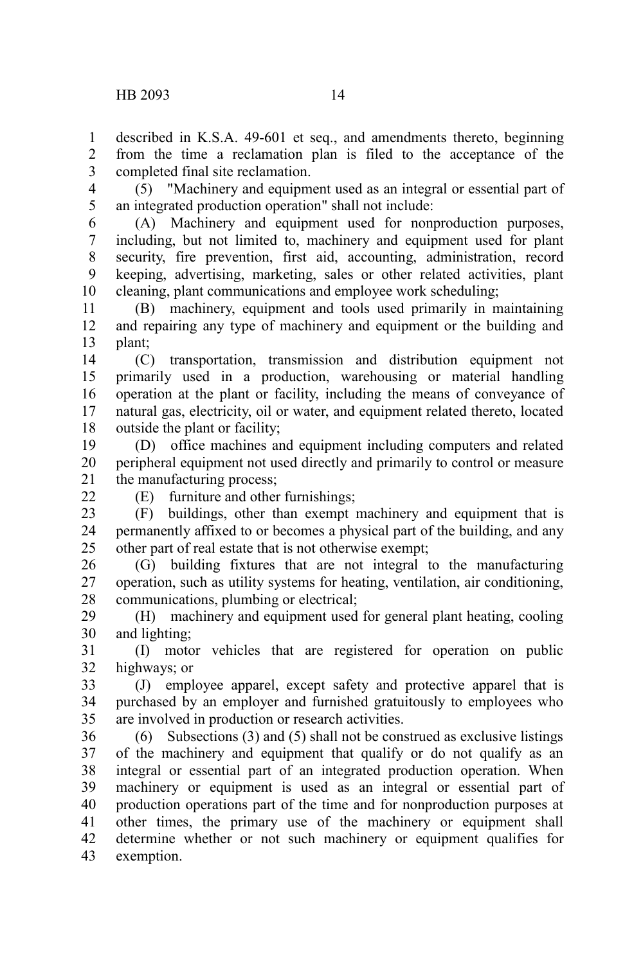described in K.S.A. 49-601 et seq., and amendments thereto, beginning from the time a reclamation plan is filed to the acceptance of the completed final site reclamation. 1  $\mathcal{L}$ 3

(5) "Machinery and equipment used as an integral or essential part of an integrated production operation" shall not include: 4 5

(A) Machinery and equipment used for nonproduction purposes, including, but not limited to, machinery and equipment used for plant security, fire prevention, first aid, accounting, administration, record keeping, advertising, marketing, sales or other related activities, plant cleaning, plant communications and employee work scheduling; 6 7 8 9 10

(B) machinery, equipment and tools used primarily in maintaining and repairing any type of machinery and equipment or the building and plant; 11 12 13

(C) transportation, transmission and distribution equipment not primarily used in a production, warehousing or material handling operation at the plant or facility, including the means of conveyance of natural gas, electricity, oil or water, and equipment related thereto, located outside the plant or facility; 14 15 16 17 18

(D) office machines and equipment including computers and related peripheral equipment not used directly and primarily to control or measure the manufacturing process; 19 20 21

 $22$ 

(E) furniture and other furnishings;

(F) buildings, other than exempt machinery and equipment that is permanently affixed to or becomes a physical part of the building, and any other part of real estate that is not otherwise exempt; 23 24 25

(G) building fixtures that are not integral to the manufacturing operation, such as utility systems for heating, ventilation, air conditioning, communications, plumbing or electrical; 26 27 28

(H) machinery and equipment used for general plant heating, cooling and lighting; 29 30

(I) motor vehicles that are registered for operation on public highways; or 31 32

(J) employee apparel, except safety and protective apparel that is purchased by an employer and furnished gratuitously to employees who are involved in production or research activities. 33 34 35

(6) Subsections (3) and (5) shall not be construed as exclusive listings of the machinery and equipment that qualify or do not qualify as an integral or essential part of an integrated production operation. When machinery or equipment is used as an integral or essential part of production operations part of the time and for nonproduction purposes at other times, the primary use of the machinery or equipment shall determine whether or not such machinery or equipment qualifies for exemption. 36 37 38 39 40 41 42 43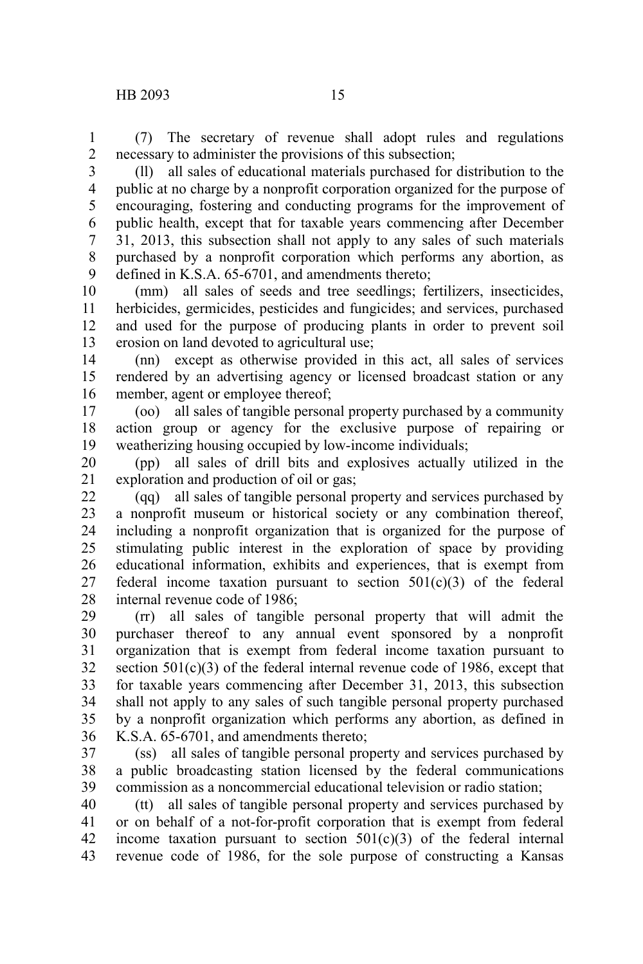(7) The secretary of revenue shall adopt rules and regulations necessary to administer the provisions of this subsection; 1 2

(ll) all sales of educational materials purchased for distribution to the public at no charge by a nonprofit corporation organized for the purpose of encouraging, fostering and conducting programs for the improvement of public health, except that for taxable years commencing after December 31, 2013, this subsection shall not apply to any sales of such materials purchased by a nonprofit corporation which performs any abortion, as defined in K.S.A. 65-6701, and amendments thereto; 3 4 5 6 7 8 9

(mm) all sales of seeds and tree seedlings; fertilizers, insecticides, herbicides, germicides, pesticides and fungicides; and services, purchased and used for the purpose of producing plants in order to prevent soil erosion on land devoted to agricultural use; 10 11 12 13

(nn) except as otherwise provided in this act, all sales of services rendered by an advertising agency or licensed broadcast station or any member, agent or employee thereof; 14 15 16

(oo) all sales of tangible personal property purchased by a community action group or agency for the exclusive purpose of repairing or weatherizing housing occupied by low-income individuals; 17 18 19

(pp) all sales of drill bits and explosives actually utilized in the exploration and production of oil or gas; 20 21

(qq) all sales of tangible personal property and services purchased by a nonprofit museum or historical society or any combination thereof, including a nonprofit organization that is organized for the purpose of stimulating public interest in the exploration of space by providing educational information, exhibits and experiences, that is exempt from federal income taxation pursuant to section  $501(c)(3)$  of the federal internal revenue code of 1986; 22 23 24 25 26 27 28

(rr) all sales of tangible personal property that will admit the purchaser thereof to any annual event sponsored by a nonprofit organization that is exempt from federal income taxation pursuant to section  $501(c)(3)$  of the federal internal revenue code of 1986, except that for taxable years commencing after December 31, 2013, this subsection shall not apply to any sales of such tangible personal property purchased by a nonprofit organization which performs any abortion, as defined in K.S.A. 65-6701, and amendments thereto; 29 30 31 32 33 34 35 36

(ss) all sales of tangible personal property and services purchased by a public broadcasting station licensed by the federal communications commission as a noncommercial educational television or radio station; 37 38 39

(tt) all sales of tangible personal property and services purchased by or on behalf of a not-for-profit corporation that is exempt from federal income taxation pursuant to section  $501(c)(3)$  of the federal internal revenue code of 1986, for the sole purpose of constructing a Kansas 40 41 42 43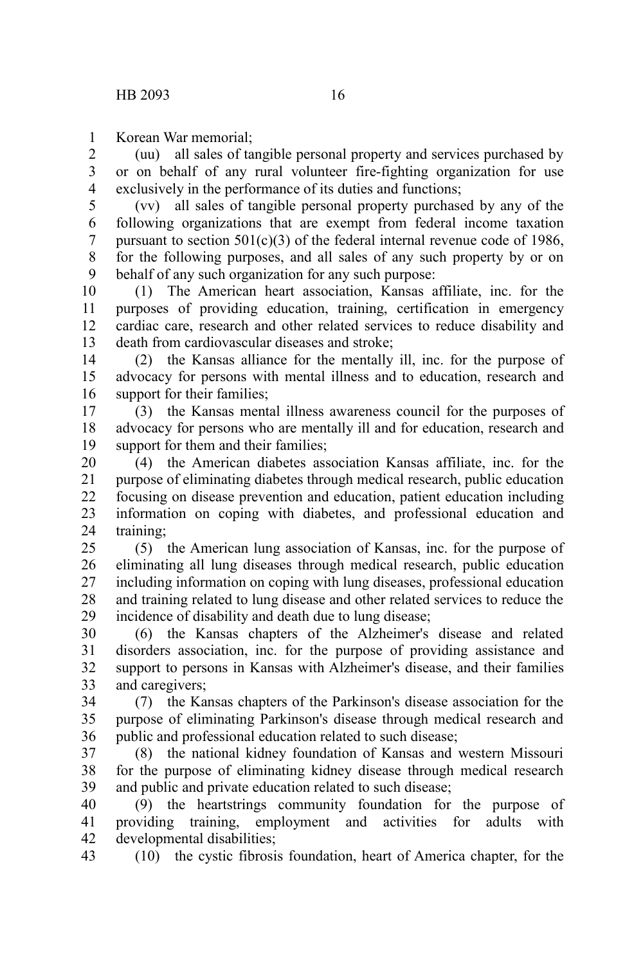Korean War memorial; 1

(uu) all sales of tangible personal property and services purchased by or on behalf of any rural volunteer fire-fighting organization for use exclusively in the performance of its duties and functions; 2 3 4

(vv) all sales of tangible personal property purchased by any of the following organizations that are exempt from federal income taxation pursuant to section  $501(c)(3)$  of the federal internal revenue code of 1986, for the following purposes, and all sales of any such property by or on behalf of any such organization for any such purpose: 5 6 7 8 9

(1) The American heart association, Kansas affiliate, inc. for the purposes of providing education, training, certification in emergency cardiac care, research and other related services to reduce disability and death from cardiovascular diseases and stroke; 10 11 12 13

(2) the Kansas alliance for the mentally ill, inc. for the purpose of advocacy for persons with mental illness and to education, research and support for their families; 14 15 16

(3) the Kansas mental illness awareness council for the purposes of advocacy for persons who are mentally ill and for education, research and support for them and their families; 17 18 19

(4) the American diabetes association Kansas affiliate, inc. for the purpose of eliminating diabetes through medical research, public education focusing on disease prevention and education, patient education including information on coping with diabetes, and professional education and training; 20 21 22 23 24

(5) the American lung association of Kansas, inc. for the purpose of eliminating all lung diseases through medical research, public education including information on coping with lung diseases, professional education and training related to lung disease and other related services to reduce the incidence of disability and death due to lung disease;  $25$ 26 27 28 29

(6) the Kansas chapters of the Alzheimer's disease and related disorders association, inc. for the purpose of providing assistance and support to persons in Kansas with Alzheimer's disease, and their families and caregivers; 30 31 32 33

(7) the Kansas chapters of the Parkinson's disease association for the purpose of eliminating Parkinson's disease through medical research and public and professional education related to such disease; 34 35 36

(8) the national kidney foundation of Kansas and western Missouri for the purpose of eliminating kidney disease through medical research and public and private education related to such disease; 37 38 39

(9) the heartstrings community foundation for the purpose of providing training, employment and activities for adults with developmental disabilities; 40 41 42

(10) the cystic fibrosis foundation, heart of America chapter, for the 43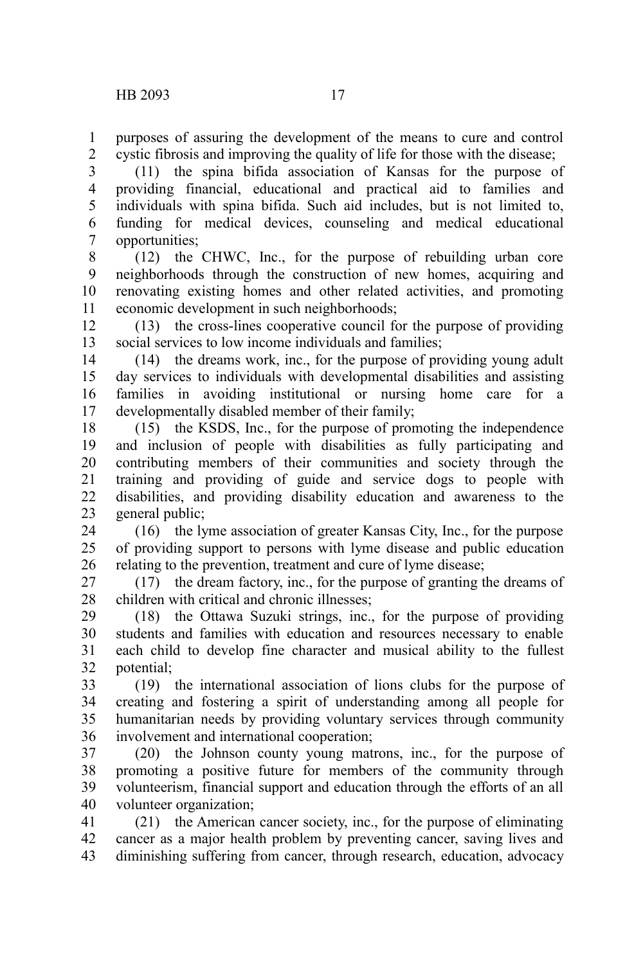purposes of assuring the development of the means to cure and control cystic fibrosis and improving the quality of life for those with the disease; 1 2

(11) the spina bifida association of Kansas for the purpose of providing financial, educational and practical aid to families and individuals with spina bifida. Such aid includes, but is not limited to, funding for medical devices, counseling and medical educational opportunities; 3 4 5 6 7

(12) the CHWC, Inc., for the purpose of rebuilding urban core neighborhoods through the construction of new homes, acquiring and renovating existing homes and other related activities, and promoting economic development in such neighborhoods; 8 9 10 11

(13) the cross-lines cooperative council for the purpose of providing social services to low income individuals and families; 12 13

(14) the dreams work, inc., for the purpose of providing young adult day services to individuals with developmental disabilities and assisting families in avoiding institutional or nursing home care for a developmentally disabled member of their family; 14 15 16 17

(15) the KSDS, Inc., for the purpose of promoting the independence and inclusion of people with disabilities as fully participating and contributing members of their communities and society through the training and providing of guide and service dogs to people with disabilities, and providing disability education and awareness to the general public; 18 19 20 21 22 23

(16) the lyme association of greater Kansas City, Inc., for the purpose of providing support to persons with lyme disease and public education relating to the prevention, treatment and cure of lyme disease; 24 25 26

(17) the dream factory, inc., for the purpose of granting the dreams of children with critical and chronic illnesses; 27 28

(18) the Ottawa Suzuki strings, inc., for the purpose of providing students and families with education and resources necessary to enable each child to develop fine character and musical ability to the fullest potential; 29 30 31 32

(19) the international association of lions clubs for the purpose of creating and fostering a spirit of understanding among all people for humanitarian needs by providing voluntary services through community involvement and international cooperation; 33 34 35 36

(20) the Johnson county young matrons, inc., for the purpose of promoting a positive future for members of the community through volunteerism, financial support and education through the efforts of an all volunteer organization; 37 38 39 40

(21) the American cancer society, inc., for the purpose of eliminating cancer as a major health problem by preventing cancer, saving lives and diminishing suffering from cancer, through research, education, advocacy 41 42 43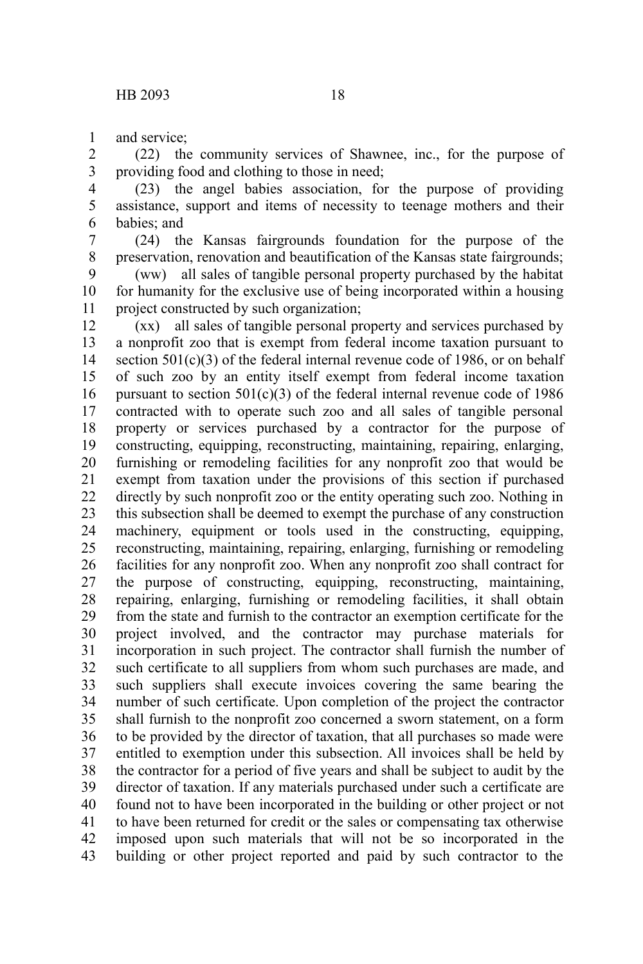and service; 1

(22) the community services of Shawnee, inc., for the purpose of providing food and clothing to those in need; 2 3

(23) the angel babies association, for the purpose of providing assistance, support and items of necessity to teenage mothers and their babies; and 4 5 6

(24) the Kansas fairgrounds foundation for the purpose of the preservation, renovation and beautification of the Kansas state fairgrounds; 7 8

(ww) all sales of tangible personal property purchased by the habitat for humanity for the exclusive use of being incorporated within a housing project constructed by such organization; 9 10 11

(xx) all sales of tangible personal property and services purchased by a nonprofit zoo that is exempt from federal income taxation pursuant to section  $501(c)(3)$  of the federal internal revenue code of 1986, or on behalf of such zoo by an entity itself exempt from federal income taxation pursuant to section  $501(c)(3)$  of the federal internal revenue code of 1986 contracted with to operate such zoo and all sales of tangible personal property or services purchased by a contractor for the purpose of constructing, equipping, reconstructing, maintaining, repairing, enlarging, furnishing or remodeling facilities for any nonprofit zoo that would be exempt from taxation under the provisions of this section if purchased directly by such nonprofit zoo or the entity operating such zoo. Nothing in this subsection shall be deemed to exempt the purchase of any construction machinery, equipment or tools used in the constructing, equipping, reconstructing, maintaining, repairing, enlarging, furnishing or remodeling facilities for any nonprofit zoo. When any nonprofit zoo shall contract for the purpose of constructing, equipping, reconstructing, maintaining, repairing, enlarging, furnishing or remodeling facilities, it shall obtain from the state and furnish to the contractor an exemption certificate for the project involved, and the contractor may purchase materials for incorporation in such project. The contractor shall furnish the number of such certificate to all suppliers from whom such purchases are made, and such suppliers shall execute invoices covering the same bearing the number of such certificate. Upon completion of the project the contractor shall furnish to the nonprofit zoo concerned a sworn statement, on a form to be provided by the director of taxation, that all purchases so made were entitled to exemption under this subsection. All invoices shall be held by the contractor for a period of five years and shall be subject to audit by the director of taxation. If any materials purchased under such a certificate are found not to have been incorporated in the building or other project or not to have been returned for credit or the sales or compensating tax otherwise imposed upon such materials that will not be so incorporated in the building or other project reported and paid by such contractor to the 12 13 14 15 16 17 18 19 20 21 22 23 24 25 26 27 28 29 30 31 32 33 34 35 36 37 38 39 40 41 42 43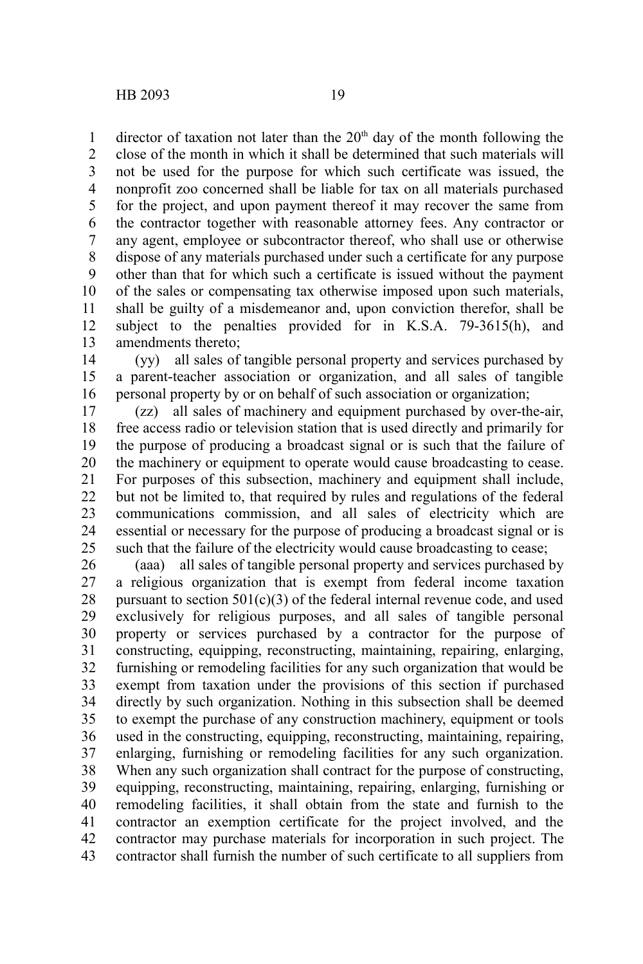director of taxation not later than the  $20<sup>th</sup>$  day of the month following the close of the month in which it shall be determined that such materials will not be used for the purpose for which such certificate was issued, the nonprofit zoo concerned shall be liable for tax on all materials purchased for the project, and upon payment thereof it may recover the same from the contractor together with reasonable attorney fees. Any contractor or any agent, employee or subcontractor thereof, who shall use or otherwise dispose of any materials purchased under such a certificate for any purpose other than that for which such a certificate is issued without the payment of the sales or compensating tax otherwise imposed upon such materials, shall be guilty of a misdemeanor and, upon conviction therefor, shall be subject to the penalties provided for in K.S.A. 79-3615(h), and amendments thereto; 1 2 3 4 5 6 7 8 9 10 11 12 13

(yy) all sales of tangible personal property and services purchased by a parent-teacher association or organization, and all sales of tangible personal property by or on behalf of such association or organization; 14 15 16

(zz) all sales of machinery and equipment purchased by over-the-air, free access radio or television station that is used directly and primarily for the purpose of producing a broadcast signal or is such that the failure of the machinery or equipment to operate would cause broadcasting to cease. For purposes of this subsection, machinery and equipment shall include, but not be limited to, that required by rules and regulations of the federal communications commission, and all sales of electricity which are essential or necessary for the purpose of producing a broadcast signal or is such that the failure of the electricity would cause broadcasting to cease; 17 18 19 20 21 22 23 24 25

(aaa) all sales of tangible personal property and services purchased by a religious organization that is exempt from federal income taxation pursuant to section  $501(c)(3)$  of the federal internal revenue code, and used exclusively for religious purposes, and all sales of tangible personal property or services purchased by a contractor for the purpose of constructing, equipping, reconstructing, maintaining, repairing, enlarging, furnishing or remodeling facilities for any such organization that would be exempt from taxation under the provisions of this section if purchased directly by such organization. Nothing in this subsection shall be deemed to exempt the purchase of any construction machinery, equipment or tools used in the constructing, equipping, reconstructing, maintaining, repairing, enlarging, furnishing or remodeling facilities for any such organization. When any such organization shall contract for the purpose of constructing, equipping, reconstructing, maintaining, repairing, enlarging, furnishing or remodeling facilities, it shall obtain from the state and furnish to the contractor an exemption certificate for the project involved, and the contractor may purchase materials for incorporation in such project. The contractor shall furnish the number of such certificate to all suppliers from 26 27 28 29 30 31 32 33 34 35 36 37 38 39 40 41 42 43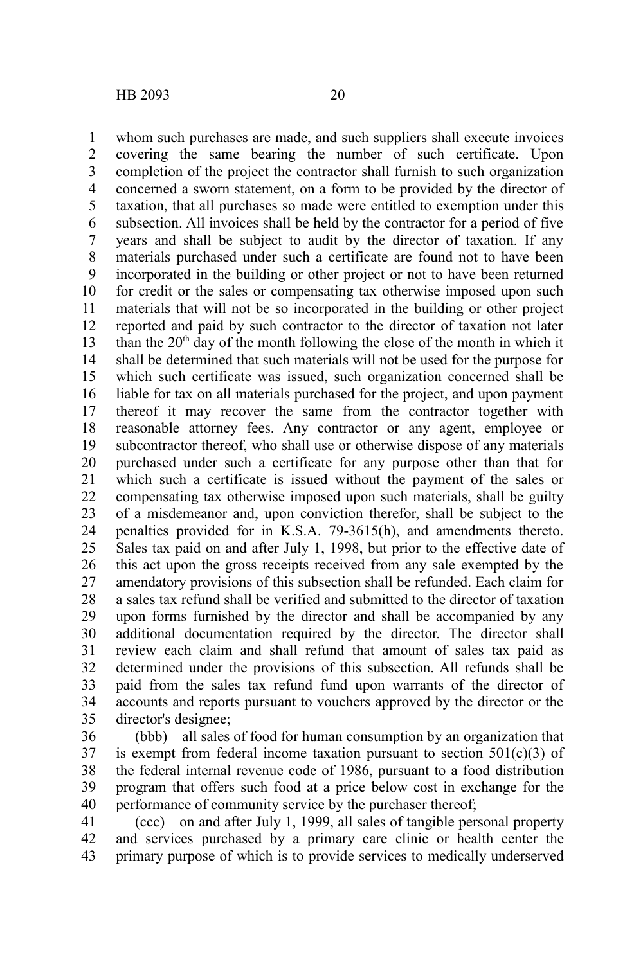whom such purchases are made, and such suppliers shall execute invoices covering the same bearing the number of such certificate. Upon completion of the project the contractor shall furnish to such organization concerned a sworn statement, on a form to be provided by the director of taxation, that all purchases so made were entitled to exemption under this subsection. All invoices shall be held by the contractor for a period of five years and shall be subject to audit by the director of taxation. If any materials purchased under such a certificate are found not to have been incorporated in the building or other project or not to have been returned for credit or the sales or compensating tax otherwise imposed upon such materials that will not be so incorporated in the building or other project reported and paid by such contractor to the director of taxation not later than the  $20<sup>th</sup>$  day of the month following the close of the month in which it shall be determined that such materials will not be used for the purpose for which such certificate was issued, such organization concerned shall be liable for tax on all materials purchased for the project, and upon payment thereof it may recover the same from the contractor together with reasonable attorney fees. Any contractor or any agent, employee or subcontractor thereof, who shall use or otherwise dispose of any materials purchased under such a certificate for any purpose other than that for which such a certificate is issued without the payment of the sales or compensating tax otherwise imposed upon such materials, shall be guilty of a misdemeanor and, upon conviction therefor, shall be subject to the penalties provided for in K.S.A. 79-3615(h), and amendments thereto. Sales tax paid on and after July 1, 1998, but prior to the effective date of this act upon the gross receipts received from any sale exempted by the amendatory provisions of this subsection shall be refunded. Each claim for a sales tax refund shall be verified and submitted to the director of taxation upon forms furnished by the director and shall be accompanied by any additional documentation required by the director. The director shall review each claim and shall refund that amount of sales tax paid as determined under the provisions of this subsection. All refunds shall be paid from the sales tax refund fund upon warrants of the director of accounts and reports pursuant to vouchers approved by the director or the director's designee; 1 2 3 4 5 6 7 8 9 10 11 12 13 14 15 16 17 18 19 20 21 22 23 24 25 26 27 28 29 30 31 32 33 34 35

(bbb) all sales of food for human consumption by an organization that is exempt from federal income taxation pursuant to section  $501(c)(3)$  of the federal internal revenue code of 1986, pursuant to a food distribution program that offers such food at a price below cost in exchange for the performance of community service by the purchaser thereof; 36 37 38 39 40

(ccc) on and after July 1, 1999, all sales of tangible personal property and services purchased by a primary care clinic or health center the primary purpose of which is to provide services to medically underserved 41 42 43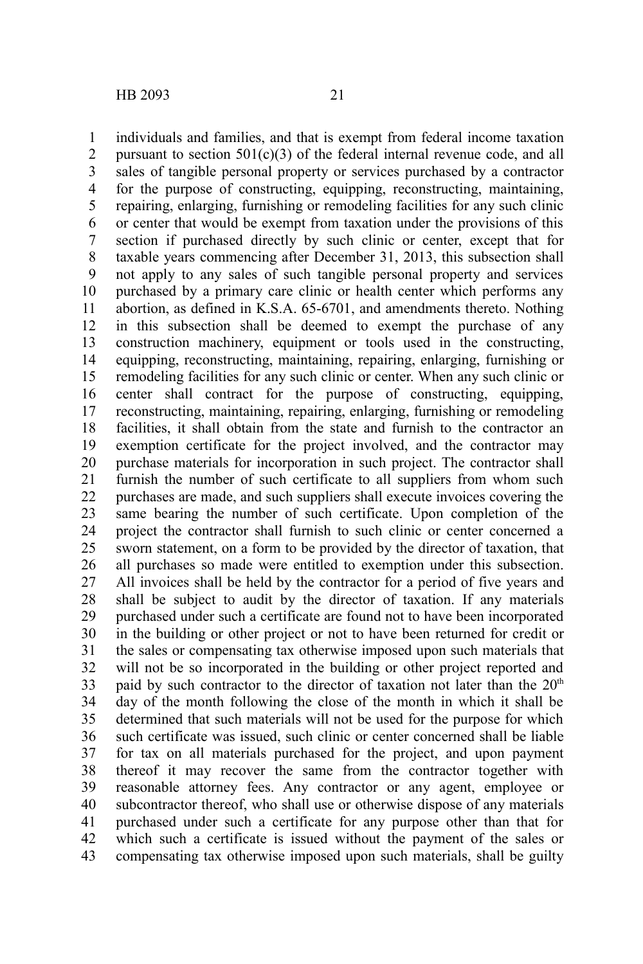individuals and families, and that is exempt from federal income taxation pursuant to section  $501(c)(3)$  of the federal internal revenue code, and all sales of tangible personal property or services purchased by a contractor for the purpose of constructing, equipping, reconstructing, maintaining, repairing, enlarging, furnishing or remodeling facilities for any such clinic or center that would be exempt from taxation under the provisions of this section if purchased directly by such clinic or center, except that for taxable years commencing after December 31, 2013, this subsection shall not apply to any sales of such tangible personal property and services purchased by a primary care clinic or health center which performs any abortion, as defined in K.S.A. 65-6701, and amendments thereto. Nothing in this subsection shall be deemed to exempt the purchase of any construction machinery, equipment or tools used in the constructing, equipping, reconstructing, maintaining, repairing, enlarging, furnishing or remodeling facilities for any such clinic or center. When any such clinic or center shall contract for the purpose of constructing, equipping, reconstructing, maintaining, repairing, enlarging, furnishing or remodeling facilities, it shall obtain from the state and furnish to the contractor an exemption certificate for the project involved, and the contractor may purchase materials for incorporation in such project. The contractor shall furnish the number of such certificate to all suppliers from whom such purchases are made, and such suppliers shall execute invoices covering the same bearing the number of such certificate. Upon completion of the project the contractor shall furnish to such clinic or center concerned a sworn statement, on a form to be provided by the director of taxation, that all purchases so made were entitled to exemption under this subsection. All invoices shall be held by the contractor for a period of five years and shall be subject to audit by the director of taxation. If any materials purchased under such a certificate are found not to have been incorporated in the building or other project or not to have been returned for credit or the sales or compensating tax otherwise imposed upon such materials that will not be so incorporated in the building or other project reported and paid by such contractor to the director of taxation not later than the  $20<sup>th</sup>$ day of the month following the close of the month in which it shall be determined that such materials will not be used for the purpose for which such certificate was issued, such clinic or center concerned shall be liable for tax on all materials purchased for the project, and upon payment thereof it may recover the same from the contractor together with reasonable attorney fees. Any contractor or any agent, employee or subcontractor thereof, who shall use or otherwise dispose of any materials purchased under such a certificate for any purpose other than that for which such a certificate is issued without the payment of the sales or compensating tax otherwise imposed upon such materials, shall be guilty 1 2 3 4 5 6 7 8 9 10 11 12 13 14 15 16 17 18 19 20 21 22 23 24 25 26 27 28 29 30 31 32 33 34 35 36 37 38 39 40 41 42 43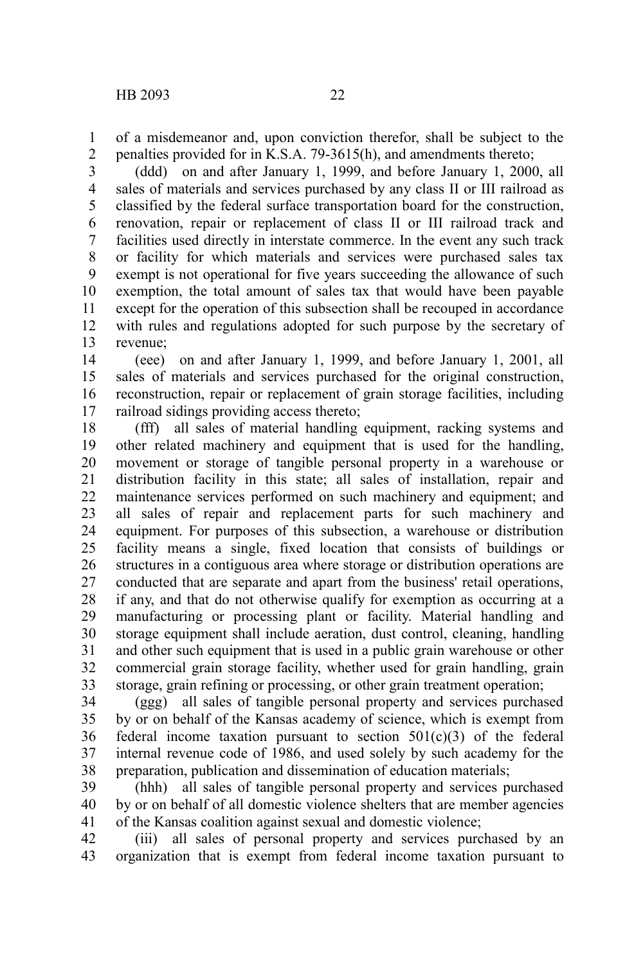of a misdemeanor and, upon conviction therefor, shall be subject to the penalties provided for in K.S.A. 79-3615(h), and amendments thereto; 1 2

(ddd) on and after January 1, 1999, and before January 1, 2000, all sales of materials and services purchased by any class II or III railroad as classified by the federal surface transportation board for the construction, renovation, repair or replacement of class II or III railroad track and facilities used directly in interstate commerce. In the event any such track or facility for which materials and services were purchased sales tax exempt is not operational for five years succeeding the allowance of such exemption, the total amount of sales tax that would have been payable except for the operation of this subsection shall be recouped in accordance with rules and regulations adopted for such purpose by the secretary of revenue; 3 4 5 6 7 8 9 10 11 12 13

(eee) on and after January 1, 1999, and before January 1, 2001, all sales of materials and services purchased for the original construction, reconstruction, repair or replacement of grain storage facilities, including railroad sidings providing access thereto; 14 15 16 17

(fff) all sales of material handling equipment, racking systems and other related machinery and equipment that is used for the handling, movement or storage of tangible personal property in a warehouse or distribution facility in this state; all sales of installation, repair and maintenance services performed on such machinery and equipment; and all sales of repair and replacement parts for such machinery and equipment. For purposes of this subsection, a warehouse or distribution facility means a single, fixed location that consists of buildings or structures in a contiguous area where storage or distribution operations are conducted that are separate and apart from the business' retail operations, if any, and that do not otherwise qualify for exemption as occurring at a manufacturing or processing plant or facility. Material handling and storage equipment shall include aeration, dust control, cleaning, handling and other such equipment that is used in a public grain warehouse or other commercial grain storage facility, whether used for grain handling, grain storage, grain refining or processing, or other grain treatment operation; 18 19 20 21 22 23 24 25 26 27 28 29 30 31 32 33

(ggg) all sales of tangible personal property and services purchased by or on behalf of the Kansas academy of science, which is exempt from federal income taxation pursuant to section  $501(c)(3)$  of the federal internal revenue code of 1986, and used solely by such academy for the preparation, publication and dissemination of education materials; 34 35 36 37 38

(hhh) all sales of tangible personal property and services purchased by or on behalf of all domestic violence shelters that are member agencies of the Kansas coalition against sexual and domestic violence; 39 40 41

(iii) all sales of personal property and services purchased by an organization that is exempt from federal income taxation pursuant to 42 43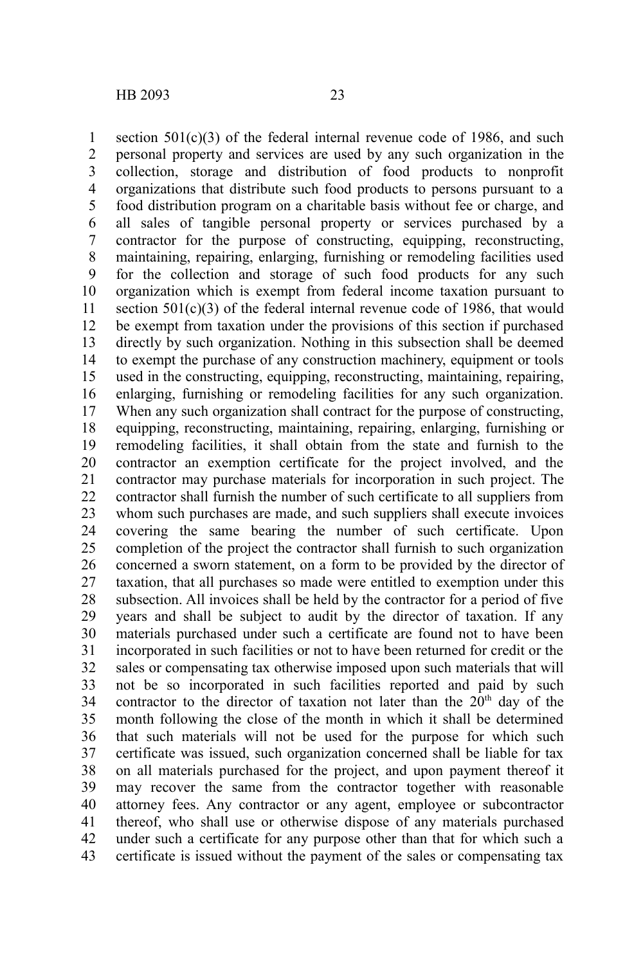section  $501(c)(3)$  of the federal internal revenue code of 1986, and such personal property and services are used by any such organization in the collection, storage and distribution of food products to nonprofit organizations that distribute such food products to persons pursuant to a food distribution program on a charitable basis without fee or charge, and all sales of tangible personal property or services purchased by a contractor for the purpose of constructing, equipping, reconstructing, maintaining, repairing, enlarging, furnishing or remodeling facilities used for the collection and storage of such food products for any such organization which is exempt from federal income taxation pursuant to section  $501(c)(3)$  of the federal internal revenue code of 1986, that would be exempt from taxation under the provisions of this section if purchased directly by such organization. Nothing in this subsection shall be deemed to exempt the purchase of any construction machinery, equipment or tools used in the constructing, equipping, reconstructing, maintaining, repairing, enlarging, furnishing or remodeling facilities for any such organization. When any such organization shall contract for the purpose of constructing, equipping, reconstructing, maintaining, repairing, enlarging, furnishing or remodeling facilities, it shall obtain from the state and furnish to the contractor an exemption certificate for the project involved, and the contractor may purchase materials for incorporation in such project. The contractor shall furnish the number of such certificate to all suppliers from whom such purchases are made, and such suppliers shall execute invoices covering the same bearing the number of such certificate. Upon completion of the project the contractor shall furnish to such organization concerned a sworn statement, on a form to be provided by the director of taxation, that all purchases so made were entitled to exemption under this subsection. All invoices shall be held by the contractor for a period of five years and shall be subject to audit by the director of taxation. If any materials purchased under such a certificate are found not to have been incorporated in such facilities or not to have been returned for credit or the sales or compensating tax otherwise imposed upon such materials that will not be so incorporated in such facilities reported and paid by such contractor to the director of taxation not later than the  $20<sup>th</sup>$  day of the month following the close of the month in which it shall be determined that such materials will not be used for the purpose for which such certificate was issued, such organization concerned shall be liable for tax on all materials purchased for the project, and upon payment thereof it may recover the same from the contractor together with reasonable attorney fees. Any contractor or any agent, employee or subcontractor thereof, who shall use or otherwise dispose of any materials purchased under such a certificate for any purpose other than that for which such a certificate is issued without the payment of the sales or compensating tax 1 2 3 4 5 6 7 8 9 10 11 12 13 14 15 16 17 18 19 20 21 22 23 24 25 26 27 28 29 30 31 32 33 34 35 36 37 38 39 40 41 42 43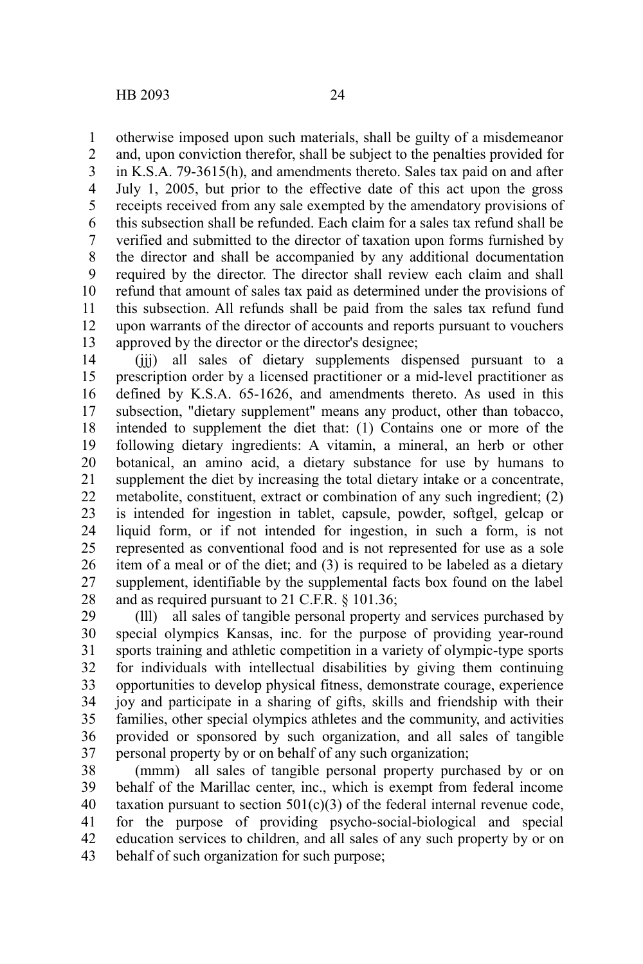otherwise imposed upon such materials, shall be guilty of a misdemeanor and, upon conviction therefor, shall be subject to the penalties provided for in K.S.A. 79-3615(h), and amendments thereto. Sales tax paid on and after July 1, 2005, but prior to the effective date of this act upon the gross receipts received from any sale exempted by the amendatory provisions of this subsection shall be refunded. Each claim for a sales tax refund shall be verified and submitted to the director of taxation upon forms furnished by the director and shall be accompanied by any additional documentation required by the director. The director shall review each claim and shall refund that amount of sales tax paid as determined under the provisions of this subsection. All refunds shall be paid from the sales tax refund fund upon warrants of the director of accounts and reports pursuant to vouchers approved by the director or the director's designee; 1 2 3 4 5 6 7 8 9 10 11 12 13

(jjj) all sales of dietary supplements dispensed pursuant to a prescription order by a licensed practitioner or a mid-level practitioner as defined by K.S.A. 65-1626, and amendments thereto. As used in this subsection, "dietary supplement" means any product, other than tobacco, intended to supplement the diet that: (1) Contains one or more of the following dietary ingredients: A vitamin, a mineral, an herb or other botanical, an amino acid, a dietary substance for use by humans to supplement the diet by increasing the total dietary intake or a concentrate, metabolite, constituent, extract or combination of any such ingredient; (2) is intended for ingestion in tablet, capsule, powder, softgel, gelcap or liquid form, or if not intended for ingestion, in such a form, is not represented as conventional food and is not represented for use as a sole item of a meal or of the diet; and (3) is required to be labeled as a dietary supplement, identifiable by the supplemental facts box found on the label and as required pursuant to 21 C.F.R. § 101.36; 14 15 16 17 18 19 20 21 22 23 24 25 26 27 28

(lll) all sales of tangible personal property and services purchased by special olympics Kansas, inc. for the purpose of providing year-round sports training and athletic competition in a variety of olympic-type sports for individuals with intellectual disabilities by giving them continuing opportunities to develop physical fitness, demonstrate courage, experience joy and participate in a sharing of gifts, skills and friendship with their families, other special olympics athletes and the community, and activities provided or sponsored by such organization, and all sales of tangible personal property by or on behalf of any such organization; 29 30 31 32 33 34 35 36 37

(mmm) all sales of tangible personal property purchased by or on behalf of the Marillac center, inc., which is exempt from federal income taxation pursuant to section  $501(c)(3)$  of the federal internal revenue code, for the purpose of providing psycho-social-biological and special education services to children, and all sales of any such property by or on behalf of such organization for such purpose; 38 39 40 41 42 43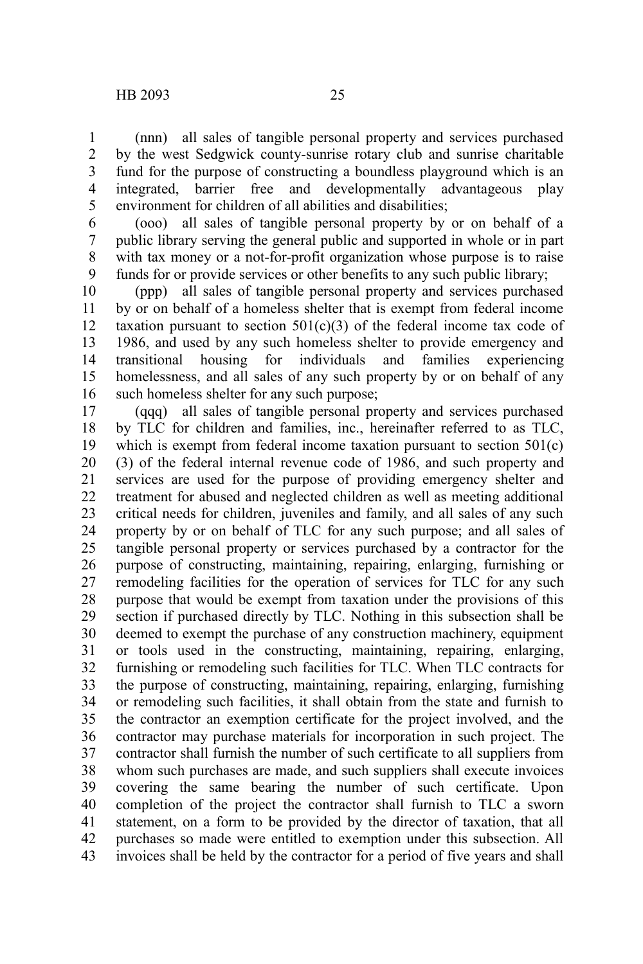(nnn) all sales of tangible personal property and services purchased by the west Sedgwick county-sunrise rotary club and sunrise charitable fund for the purpose of constructing a boundless playground which is an integrated, barrier free and developmentally advantageous play environment for children of all abilities and disabilities; 1 2 3 4 5

(ooo) all sales of tangible personal property by or on behalf of a public library serving the general public and supported in whole or in part with tax money or a not-for-profit organization whose purpose is to raise funds for or provide services or other benefits to any such public library; 6 7 8 9

(ppp) all sales of tangible personal property and services purchased by or on behalf of a homeless shelter that is exempt from federal income taxation pursuant to section  $501(c)(3)$  of the federal income tax code of 1986, and used by any such homeless shelter to provide emergency and transitional housing for individuals and families experiencing homelessness, and all sales of any such property by or on behalf of any such homeless shelter for any such purpose; 10 11 12 13 14 15 16

(qqq) all sales of tangible personal property and services purchased by TLC for children and families, inc., hereinafter referred to as TLC, which is exempt from federal income taxation pursuant to section 501(c) (3) of the federal internal revenue code of 1986, and such property and services are used for the purpose of providing emergency shelter and treatment for abused and neglected children as well as meeting additional critical needs for children, juveniles and family, and all sales of any such property by or on behalf of TLC for any such purpose; and all sales of tangible personal property or services purchased by a contractor for the purpose of constructing, maintaining, repairing, enlarging, furnishing or remodeling facilities for the operation of services for TLC for any such purpose that would be exempt from taxation under the provisions of this section if purchased directly by TLC. Nothing in this subsection shall be deemed to exempt the purchase of any construction machinery, equipment or tools used in the constructing, maintaining, repairing, enlarging, furnishing or remodeling such facilities for TLC. When TLC contracts for the purpose of constructing, maintaining, repairing, enlarging, furnishing or remodeling such facilities, it shall obtain from the state and furnish to the contractor an exemption certificate for the project involved, and the contractor may purchase materials for incorporation in such project. The contractor shall furnish the number of such certificate to all suppliers from whom such purchases are made, and such suppliers shall execute invoices covering the same bearing the number of such certificate. Upon completion of the project the contractor shall furnish to TLC a sworn statement, on a form to be provided by the director of taxation, that all purchases so made were entitled to exemption under this subsection. All invoices shall be held by the contractor for a period of five years and shall 17 18 19 20 21 22 23 24 25 26 27 28 29 30 31 32 33 34 35 36 37 38 39 40 41 42 43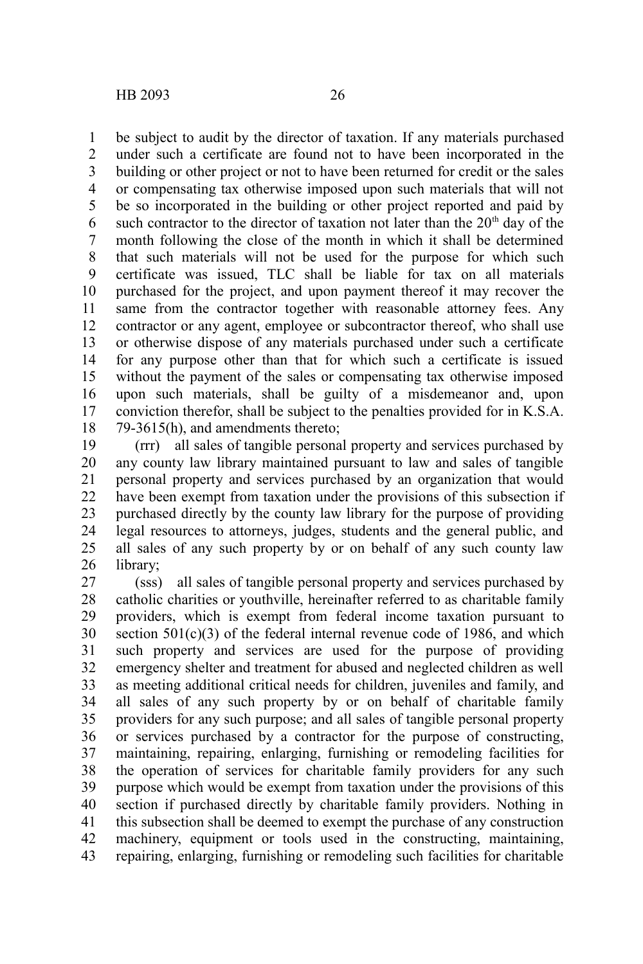be subject to audit by the director of taxation. If any materials purchased under such a certificate are found not to have been incorporated in the building or other project or not to have been returned for credit or the sales or compensating tax otherwise imposed upon such materials that will not be so incorporated in the building or other project reported and paid by such contractor to the director of taxation not later than the  $20<sup>th</sup>$  day of the month following the close of the month in which it shall be determined that such materials will not be used for the purpose for which such certificate was issued, TLC shall be liable for tax on all materials purchased for the project, and upon payment thereof it may recover the same from the contractor together with reasonable attorney fees. Any contractor or any agent, employee or subcontractor thereof, who shall use or otherwise dispose of any materials purchased under such a certificate for any purpose other than that for which such a certificate is issued without the payment of the sales or compensating tax otherwise imposed upon such materials, shall be guilty of a misdemeanor and, upon conviction therefor, shall be subject to the penalties provided for in K.S.A. 79-3615(h), and amendments thereto; 1 2 3 4 5 6 7 8 9 10 11 12 13 14 15 16 17 18

(rrr) all sales of tangible personal property and services purchased by any county law library maintained pursuant to law and sales of tangible personal property and services purchased by an organization that would have been exempt from taxation under the provisions of this subsection if purchased directly by the county law library for the purpose of providing legal resources to attorneys, judges, students and the general public, and all sales of any such property by or on behalf of any such county law library; 19 20 21 22 23 24 25 26

(sss) all sales of tangible personal property and services purchased by catholic charities or youthville, hereinafter referred to as charitable family providers, which is exempt from federal income taxation pursuant to section  $501(c)(3)$  of the federal internal revenue code of 1986, and which such property and services are used for the purpose of providing emergency shelter and treatment for abused and neglected children as well as meeting additional critical needs for children, juveniles and family, and all sales of any such property by or on behalf of charitable family providers for any such purpose; and all sales of tangible personal property or services purchased by a contractor for the purpose of constructing, maintaining, repairing, enlarging, furnishing or remodeling facilities for the operation of services for charitable family providers for any such purpose which would be exempt from taxation under the provisions of this section if purchased directly by charitable family providers. Nothing in this subsection shall be deemed to exempt the purchase of any construction machinery, equipment or tools used in the constructing, maintaining, repairing, enlarging, furnishing or remodeling such facilities for charitable 27 28 29 30 31 32 33 34 35 36 37 38 39 40 41 42 43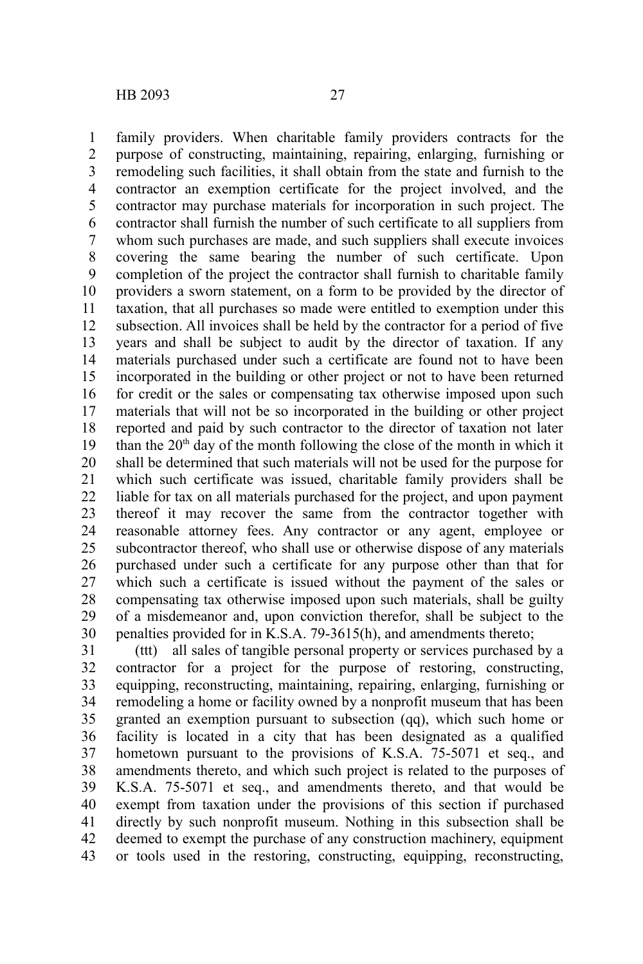family providers. When charitable family providers contracts for the purpose of constructing, maintaining, repairing, enlarging, furnishing or remodeling such facilities, it shall obtain from the state and furnish to the contractor an exemption certificate for the project involved, and the contractor may purchase materials for incorporation in such project. The contractor shall furnish the number of such certificate to all suppliers from whom such purchases are made, and such suppliers shall execute invoices covering the same bearing the number of such certificate. Upon completion of the project the contractor shall furnish to charitable family providers a sworn statement, on a form to be provided by the director of taxation, that all purchases so made were entitled to exemption under this subsection. All invoices shall be held by the contractor for a period of five years and shall be subject to audit by the director of taxation. If any materials purchased under such a certificate are found not to have been incorporated in the building or other project or not to have been returned for credit or the sales or compensating tax otherwise imposed upon such materials that will not be so incorporated in the building or other project reported and paid by such contractor to the director of taxation not later than the  $20<sup>th</sup>$  day of the month following the close of the month in which it shall be determined that such materials will not be used for the purpose for which such certificate was issued, charitable family providers shall be liable for tax on all materials purchased for the project, and upon payment thereof it may recover the same from the contractor together with reasonable attorney fees. Any contractor or any agent, employee or subcontractor thereof, who shall use or otherwise dispose of any materials purchased under such a certificate for any purpose other than that for which such a certificate is issued without the payment of the sales or compensating tax otherwise imposed upon such materials, shall be guilty of a misdemeanor and, upon conviction therefor, shall be subject to the penalties provided for in K.S.A. 79-3615(h), and amendments thereto; 1 2 3 4 5 6 7 8 9 10 11 12 13 14 15 16 17 18 19 20 21 22 23 24 25 26 27 28 29 30

(ttt) all sales of tangible personal property or services purchased by a contractor for a project for the purpose of restoring, constructing, equipping, reconstructing, maintaining, repairing, enlarging, furnishing or remodeling a home or facility owned by a nonprofit museum that has been granted an exemption pursuant to subsection (qq), which such home or facility is located in a city that has been designated as a qualified hometown pursuant to the provisions of K.S.A. 75-5071 et seq., and amendments thereto, and which such project is related to the purposes of K.S.A. 75-5071 et seq., and amendments thereto, and that would be exempt from taxation under the provisions of this section if purchased directly by such nonprofit museum. Nothing in this subsection shall be deemed to exempt the purchase of any construction machinery, equipment or tools used in the restoring, constructing, equipping, reconstructing, 31 32 33 34 35 36 37 38 39 40 41 42 43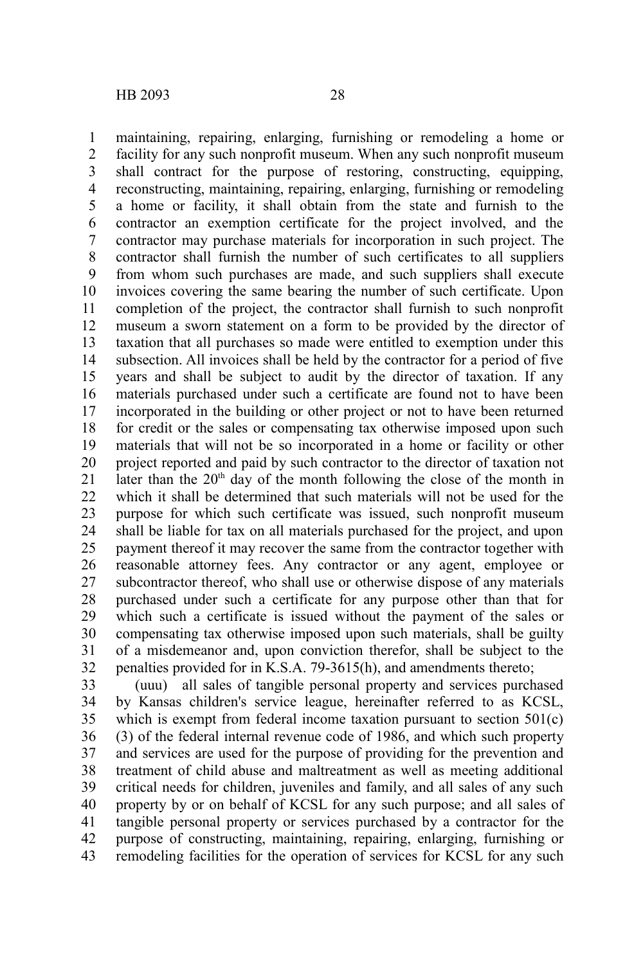maintaining, repairing, enlarging, furnishing or remodeling a home or facility for any such nonprofit museum. When any such nonprofit museum shall contract for the purpose of restoring, constructing, equipping, reconstructing, maintaining, repairing, enlarging, furnishing or remodeling a home or facility, it shall obtain from the state and furnish to the contractor an exemption certificate for the project involved, and the contractor may purchase materials for incorporation in such project. The contractor shall furnish the number of such certificates to all suppliers from whom such purchases are made, and such suppliers shall execute invoices covering the same bearing the number of such certificate. Upon completion of the project, the contractor shall furnish to such nonprofit museum a sworn statement on a form to be provided by the director of taxation that all purchases so made were entitled to exemption under this subsection. All invoices shall be held by the contractor for a period of five years and shall be subject to audit by the director of taxation. If any materials purchased under such a certificate are found not to have been incorporated in the building or other project or not to have been returned for credit or the sales or compensating tax otherwise imposed upon such materials that will not be so incorporated in a home or facility or other project reported and paid by such contractor to the director of taxation not later than the 20<sup>th</sup> day of the month following the close of the month in which it shall be determined that such materials will not be used for the purpose for which such certificate was issued, such nonprofit museum shall be liable for tax on all materials purchased for the project, and upon payment thereof it may recover the same from the contractor together with reasonable attorney fees. Any contractor or any agent, employee or subcontractor thereof, who shall use or otherwise dispose of any materials purchased under such a certificate for any purpose other than that for which such a certificate is issued without the payment of the sales or compensating tax otherwise imposed upon such materials, shall be guilty of a misdemeanor and, upon conviction therefor, shall be subject to the penalties provided for in K.S.A. 79-3615(h), and amendments thereto; 1 2 3 4 5 6 7 8 9 10 11 12 13 14 15 16 17 18 19 20 21 22 23 24 25 26 27 28 29 30 31 32

(uuu) all sales of tangible personal property and services purchased by Kansas children's service league, hereinafter referred to as KCSL, which is exempt from federal income taxation pursuant to section 501(c) (3) of the federal internal revenue code of 1986, and which such property and services are used for the purpose of providing for the prevention and treatment of child abuse and maltreatment as well as meeting additional critical needs for children, juveniles and family, and all sales of any such property by or on behalf of KCSL for any such purpose; and all sales of tangible personal property or services purchased by a contractor for the purpose of constructing, maintaining, repairing, enlarging, furnishing or remodeling facilities for the operation of services for KCSL for any such 33 34 35 36 37 38 39 40 41 42 43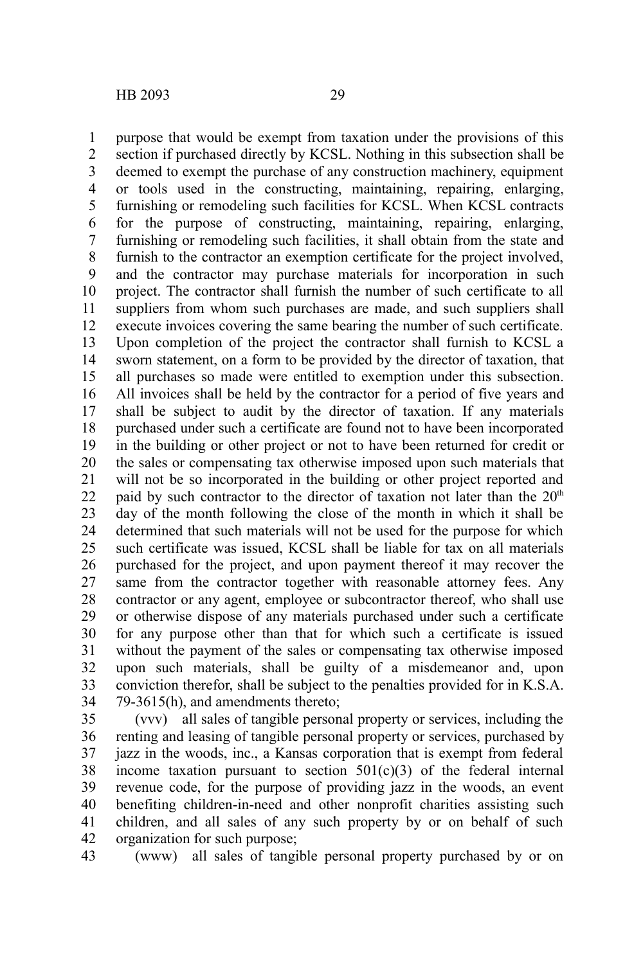purpose that would be exempt from taxation under the provisions of this section if purchased directly by KCSL. Nothing in this subsection shall be deemed to exempt the purchase of any construction machinery, equipment or tools used in the constructing, maintaining, repairing, enlarging, furnishing or remodeling such facilities for KCSL. When KCSL contracts for the purpose of constructing, maintaining, repairing, enlarging, furnishing or remodeling such facilities, it shall obtain from the state and furnish to the contractor an exemption certificate for the project involved, and the contractor may purchase materials for incorporation in such project. The contractor shall furnish the number of such certificate to all suppliers from whom such purchases are made, and such suppliers shall execute invoices covering the same bearing the number of such certificate. Upon completion of the project the contractor shall furnish to KCSL a sworn statement, on a form to be provided by the director of taxation, that all purchases so made were entitled to exemption under this subsection. All invoices shall be held by the contractor for a period of five years and shall be subject to audit by the director of taxation. If any materials purchased under such a certificate are found not to have been incorporated in the building or other project or not to have been returned for credit or the sales or compensating tax otherwise imposed upon such materials that will not be so incorporated in the building or other project reported and paid by such contractor to the director of taxation not later than the  $20<sup>th</sup>$ day of the month following the close of the month in which it shall be determined that such materials will not be used for the purpose for which such certificate was issued, KCSL shall be liable for tax on all materials purchased for the project, and upon payment thereof it may recover the same from the contractor together with reasonable attorney fees. Any contractor or any agent, employee or subcontractor thereof, who shall use or otherwise dispose of any materials purchased under such a certificate for any purpose other than that for which such a certificate is issued without the payment of the sales or compensating tax otherwise imposed upon such materials, shall be guilty of a misdemeanor and, upon conviction therefor, shall be subject to the penalties provided for in K.S.A. 79-3615(h), and amendments thereto; 1 2 3 4 5 6 7 8 9 10 11 12 13 14 15 16 17 18 19 20 21 22 23 24 25 26 27 28 29 30 31 32 33 34

(vvv) all sales of tangible personal property or services, including the renting and leasing of tangible personal property or services, purchased by jazz in the woods, inc., a Kansas corporation that is exempt from federal income taxation pursuant to section  $501(c)(3)$  of the federal internal revenue code, for the purpose of providing jazz in the woods, an event benefiting children-in-need and other nonprofit charities assisting such children, and all sales of any such property by or on behalf of such organization for such purpose; 35 36 37 38 39 40 41 42

(www) all sales of tangible personal property purchased by or on 43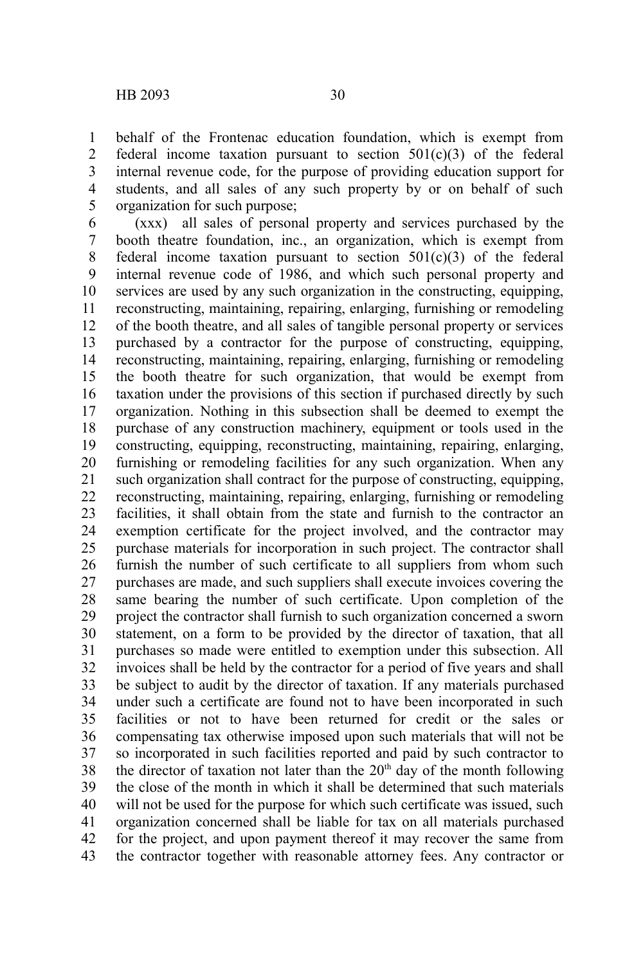behalf of the Frontenac education foundation, which is exempt from federal income taxation pursuant to section  $501(c)(3)$  of the federal internal revenue code, for the purpose of providing education support for students, and all sales of any such property by or on behalf of such organization for such purpose; 1 2 3 4 5

(xxx) all sales of personal property and services purchased by the booth theatre foundation, inc., an organization, which is exempt from federal income taxation pursuant to section  $501(c)(3)$  of the federal internal revenue code of 1986, and which such personal property and services are used by any such organization in the constructing, equipping, reconstructing, maintaining, repairing, enlarging, furnishing or remodeling of the booth theatre, and all sales of tangible personal property or services purchased by a contractor for the purpose of constructing, equipping, reconstructing, maintaining, repairing, enlarging, furnishing or remodeling the booth theatre for such organization, that would be exempt from taxation under the provisions of this section if purchased directly by such organization. Nothing in this subsection shall be deemed to exempt the purchase of any construction machinery, equipment or tools used in the constructing, equipping, reconstructing, maintaining, repairing, enlarging, furnishing or remodeling facilities for any such organization. When any such organization shall contract for the purpose of constructing, equipping, reconstructing, maintaining, repairing, enlarging, furnishing or remodeling facilities, it shall obtain from the state and furnish to the contractor an exemption certificate for the project involved, and the contractor may purchase materials for incorporation in such project. The contractor shall furnish the number of such certificate to all suppliers from whom such purchases are made, and such suppliers shall execute invoices covering the same bearing the number of such certificate. Upon completion of the project the contractor shall furnish to such organization concerned a sworn statement, on a form to be provided by the director of taxation, that all purchases so made were entitled to exemption under this subsection. All invoices shall be held by the contractor for a period of five years and shall be subject to audit by the director of taxation. If any materials purchased under such a certificate are found not to have been incorporated in such facilities or not to have been returned for credit or the sales or compensating tax otherwise imposed upon such materials that will not be so incorporated in such facilities reported and paid by such contractor to the director of taxation not later than the  $20<sup>th</sup>$  day of the month following the close of the month in which it shall be determined that such materials will not be used for the purpose for which such certificate was issued, such organization concerned shall be liable for tax on all materials purchased for the project, and upon payment thereof it may recover the same from the contractor together with reasonable attorney fees. Any contractor or 6 7 8 9 10 11 12 13 14 15 16 17 18 19 20 21 22 23 24 25 26 27 28 29 30 31 32 33 34 35 36 37 38 39 40 41 42 43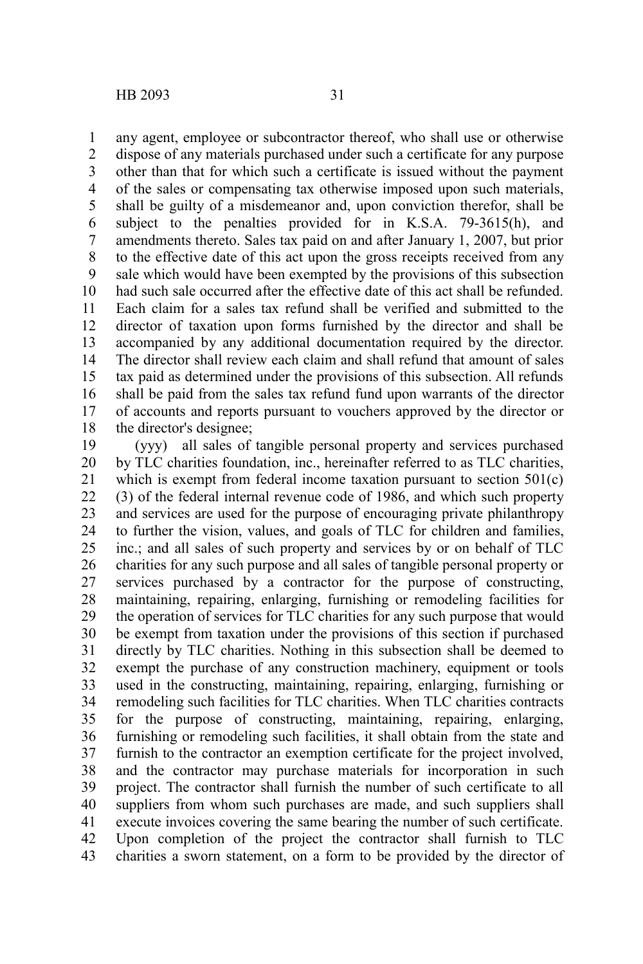any agent, employee or subcontractor thereof, who shall use or otherwise dispose of any materials purchased under such a certificate for any purpose other than that for which such a certificate is issued without the payment of the sales or compensating tax otherwise imposed upon such materials, shall be guilty of a misdemeanor and, upon conviction therefor, shall be subject to the penalties provided for in K.S.A. 79-3615(h), and amendments thereto. Sales tax paid on and after January 1, 2007, but prior to the effective date of this act upon the gross receipts received from any sale which would have been exempted by the provisions of this subsection had such sale occurred after the effective date of this act shall be refunded. Each claim for a sales tax refund shall be verified and submitted to the director of taxation upon forms furnished by the director and shall be accompanied by any additional documentation required by the director. The director shall review each claim and shall refund that amount of sales tax paid as determined under the provisions of this subsection. All refunds shall be paid from the sales tax refund fund upon warrants of the director of accounts and reports pursuant to vouchers approved by the director or the director's designee; 1 2 3 4 5 6 7 8 9 10 11 12 13 14 15 16 17 18

(yyy) all sales of tangible personal property and services purchased by TLC charities foundation, inc., hereinafter referred to as TLC charities, which is exempt from federal income taxation pursuant to section 501(c) (3) of the federal internal revenue code of 1986, and which such property and services are used for the purpose of encouraging private philanthropy to further the vision, values, and goals of TLC for children and families, inc.; and all sales of such property and services by or on behalf of TLC charities for any such purpose and all sales of tangible personal property or services purchased by a contractor for the purpose of constructing, maintaining, repairing, enlarging, furnishing or remodeling facilities for the operation of services for TLC charities for any such purpose that would be exempt from taxation under the provisions of this section if purchased directly by TLC charities. Nothing in this subsection shall be deemed to exempt the purchase of any construction machinery, equipment or tools used in the constructing, maintaining, repairing, enlarging, furnishing or remodeling such facilities for TLC charities. When TLC charities contracts for the purpose of constructing, maintaining, repairing, enlarging, furnishing or remodeling such facilities, it shall obtain from the state and furnish to the contractor an exemption certificate for the project involved, and the contractor may purchase materials for incorporation in such project. The contractor shall furnish the number of such certificate to all suppliers from whom such purchases are made, and such suppliers shall execute invoices covering the same bearing the number of such certificate. Upon completion of the project the contractor shall furnish to TLC charities a sworn statement, on a form to be provided by the director of 19 20 21 22 23 24 25 26 27 28 29 30 31 32 33 34 35 36 37 38 39 40 41 42 43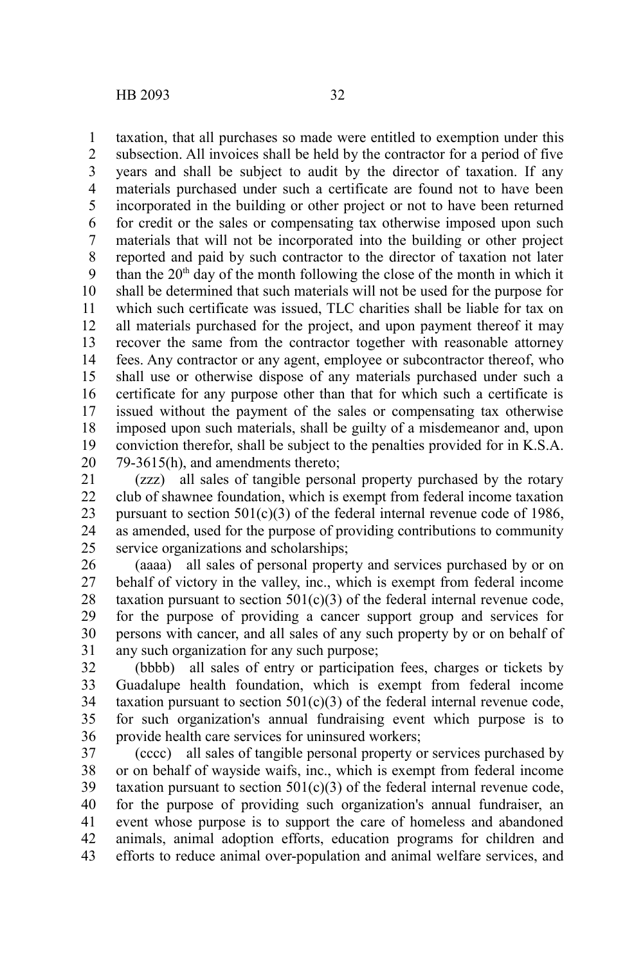taxation, that all purchases so made were entitled to exemption under this subsection. All invoices shall be held by the contractor for a period of five years and shall be subject to audit by the director of taxation. If any materials purchased under such a certificate are found not to have been incorporated in the building or other project or not to have been returned for credit or the sales or compensating tax otherwise imposed upon such materials that will not be incorporated into the building or other project reported and paid by such contractor to the director of taxation not later than the  $20<sup>th</sup>$  day of the month following the close of the month in which it shall be determined that such materials will not be used for the purpose for which such certificate was issued. TLC charities shall be liable for tax on all materials purchased for the project, and upon payment thereof it may recover the same from the contractor together with reasonable attorney fees. Any contractor or any agent, employee or subcontractor thereof, who shall use or otherwise dispose of any materials purchased under such a certificate for any purpose other than that for which such a certificate is issued without the payment of the sales or compensating tax otherwise imposed upon such materials, shall be guilty of a misdemeanor and, upon conviction therefor, shall be subject to the penalties provided for in K.S.A. 79-3615(h), and amendments thereto; 1 2 3 4 5 6 7 8 9 10 11 12 13 14 15 16 17 18 19 20

(zzz) all sales of tangible personal property purchased by the rotary club of shawnee foundation, which is exempt from federal income taxation pursuant to section  $501(c)(3)$  of the federal internal revenue code of 1986. as amended, used for the purpose of providing contributions to community service organizations and scholarships; 21 22 23 24 25

(aaaa) all sales of personal property and services purchased by or on behalf of victory in the valley, inc., which is exempt from federal income taxation pursuant to section  $501(c)(3)$  of the federal internal revenue code, for the purpose of providing a cancer support group and services for persons with cancer, and all sales of any such property by or on behalf of any such organization for any such purpose; 26 27 28 29 30 31

(bbbb) all sales of entry or participation fees, charges or tickets by Guadalupe health foundation, which is exempt from federal income taxation pursuant to section  $501(c)(3)$  of the federal internal revenue code, for such organization's annual fundraising event which purpose is to provide health care services for uninsured workers; 32 33 34 35 36

(cccc) all sales of tangible personal property or services purchased by or on behalf of wayside waifs, inc., which is exempt from federal income taxation pursuant to section  $501(c)(3)$  of the federal internal revenue code, for the purpose of providing such organization's annual fundraiser, an event whose purpose is to support the care of homeless and abandoned animals, animal adoption efforts, education programs for children and efforts to reduce animal over-population and animal welfare services, and 37 38 39 40 41 42 43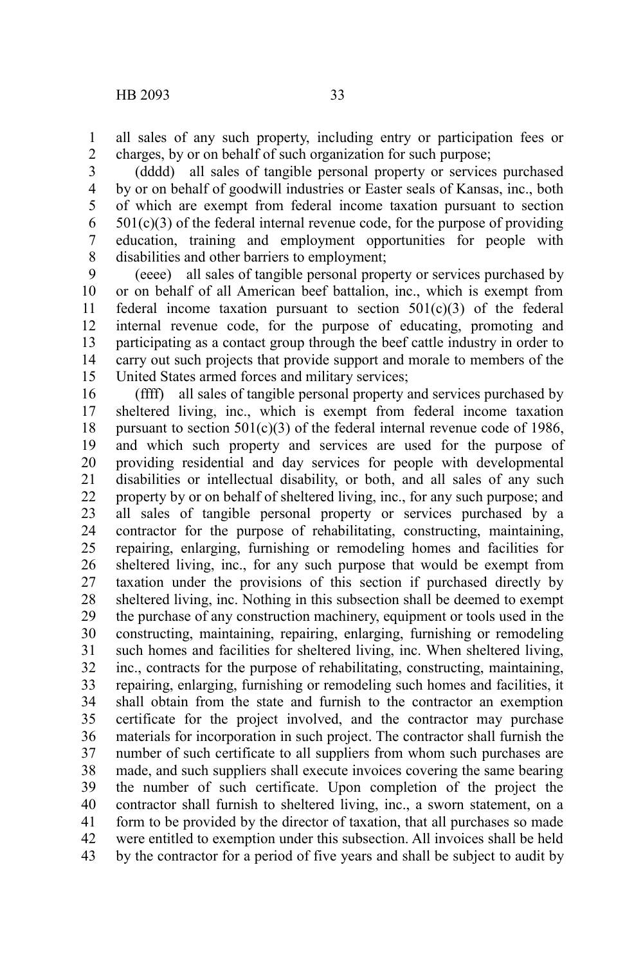all sales of any such property, including entry or participation fees or charges, by or on behalf of such organization for such purpose; 1 2

(dddd) all sales of tangible personal property or services purchased by or on behalf of goodwill industries or Easter seals of Kansas, inc., both of which are exempt from federal income taxation pursuant to section  $501(c)(3)$  of the federal internal revenue code, for the purpose of providing education, training and employment opportunities for people with disabilities and other barriers to employment; 3 4 5 6 7 8

(eeee) all sales of tangible personal property or services purchased by or on behalf of all American beef battalion, inc., which is exempt from federal income taxation pursuant to section  $501(c)(3)$  of the federal internal revenue code, for the purpose of educating, promoting and participating as a contact group through the beef cattle industry in order to carry out such projects that provide support and morale to members of the United States armed forces and military services; 9 10 11 12 13 14 15

(ffff) all sales of tangible personal property and services purchased by sheltered living, inc., which is exempt from federal income taxation pursuant to section  $501(c)(3)$  of the federal internal revenue code of 1986, and which such property and services are used for the purpose of providing residential and day services for people with developmental disabilities or intellectual disability, or both, and all sales of any such property by or on behalf of sheltered living, inc., for any such purpose; and all sales of tangible personal property or services purchased by a contractor for the purpose of rehabilitating, constructing, maintaining, repairing, enlarging, furnishing or remodeling homes and facilities for sheltered living, inc., for any such purpose that would be exempt from taxation under the provisions of this section if purchased directly by sheltered living, inc. Nothing in this subsection shall be deemed to exempt the purchase of any construction machinery, equipment or tools used in the constructing, maintaining, repairing, enlarging, furnishing or remodeling such homes and facilities for sheltered living, inc. When sheltered living, inc., contracts for the purpose of rehabilitating, constructing, maintaining, repairing, enlarging, furnishing or remodeling such homes and facilities, it shall obtain from the state and furnish to the contractor an exemption certificate for the project involved, and the contractor may purchase materials for incorporation in such project. The contractor shall furnish the number of such certificate to all suppliers from whom such purchases are made, and such suppliers shall execute invoices covering the same bearing the number of such certificate. Upon completion of the project the contractor shall furnish to sheltered living, inc., a sworn statement, on a form to be provided by the director of taxation, that all purchases so made were entitled to exemption under this subsection. All invoices shall be held by the contractor for a period of five years and shall be subject to audit by 16 17 18 19 20 21 22 23 24 25 26 27 28 29 30 31 32 33 34 35 36 37 38 39 40 41 42 43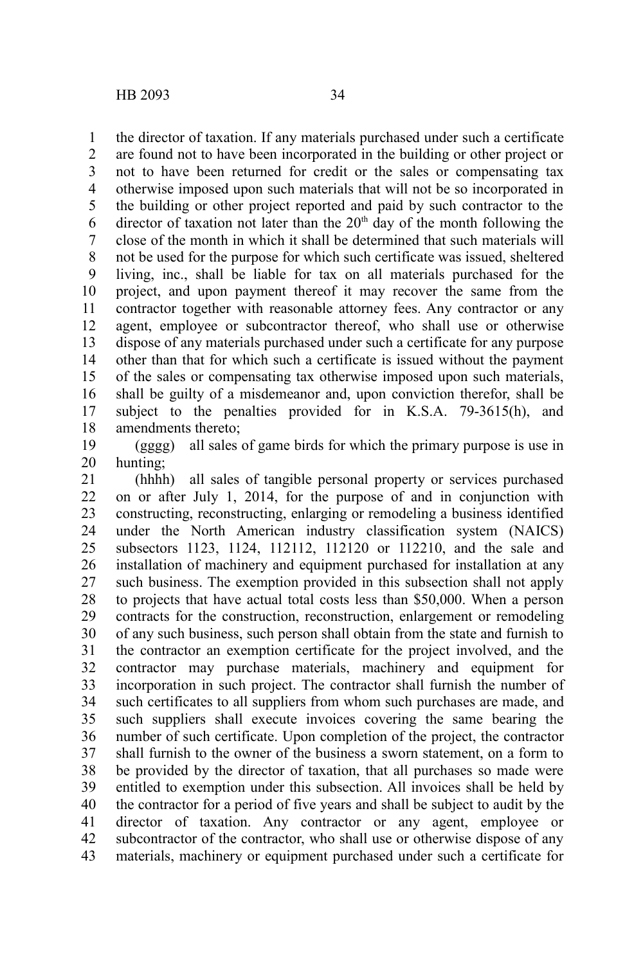the director of taxation. If any materials purchased under such a certificate are found not to have been incorporated in the building or other project or not to have been returned for credit or the sales or compensating tax otherwise imposed upon such materials that will not be so incorporated in the building or other project reported and paid by such contractor to the director of taxation not later than the  $20<sup>th</sup>$  day of the month following the close of the month in which it shall be determined that such materials will not be used for the purpose for which such certificate was issued, sheltered living, inc., shall be liable for tax on all materials purchased for the project, and upon payment thereof it may recover the same from the contractor together with reasonable attorney fees. Any contractor or any agent, employee or subcontractor thereof, who shall use or otherwise dispose of any materials purchased under such a certificate for any purpose other than that for which such a certificate is issued without the payment of the sales or compensating tax otherwise imposed upon such materials, shall be guilty of a misdemeanor and, upon conviction therefor, shall be subject to the penalties provided for in K.S.A. 79-3615(h), and amendments thereto; 1 2 3 4 5 6 7 8 9 10 11 12 13 14 15 16 17 18

(gggg) all sales of game birds for which the primary purpose is use in hunting; 19 20

(hhhh) all sales of tangible personal property or services purchased on or after July 1, 2014, for the purpose of and in conjunction with constructing, reconstructing, enlarging or remodeling a business identified under the North American industry classification system (NAICS) subsectors 1123, 1124, 112112, 112120 or 112210, and the sale and installation of machinery and equipment purchased for installation at any such business. The exemption provided in this subsection shall not apply to projects that have actual total costs less than \$50,000. When a person contracts for the construction, reconstruction, enlargement or remodeling of any such business, such person shall obtain from the state and furnish to the contractor an exemption certificate for the project involved, and the contractor may purchase materials, machinery and equipment for incorporation in such project. The contractor shall furnish the number of such certificates to all suppliers from whom such purchases are made, and such suppliers shall execute invoices covering the same bearing the number of such certificate. Upon completion of the project, the contractor shall furnish to the owner of the business a sworn statement, on a form to be provided by the director of taxation, that all purchases so made were entitled to exemption under this subsection. All invoices shall be held by the contractor for a period of five years and shall be subject to audit by the director of taxation. Any contractor or any agent, employee or subcontractor of the contractor, who shall use or otherwise dispose of any materials, machinery or equipment purchased under such a certificate for 21 22 23 24 25 26 27 28 29 30 31 32 33 34 35 36 37 38 39 40 41 42 43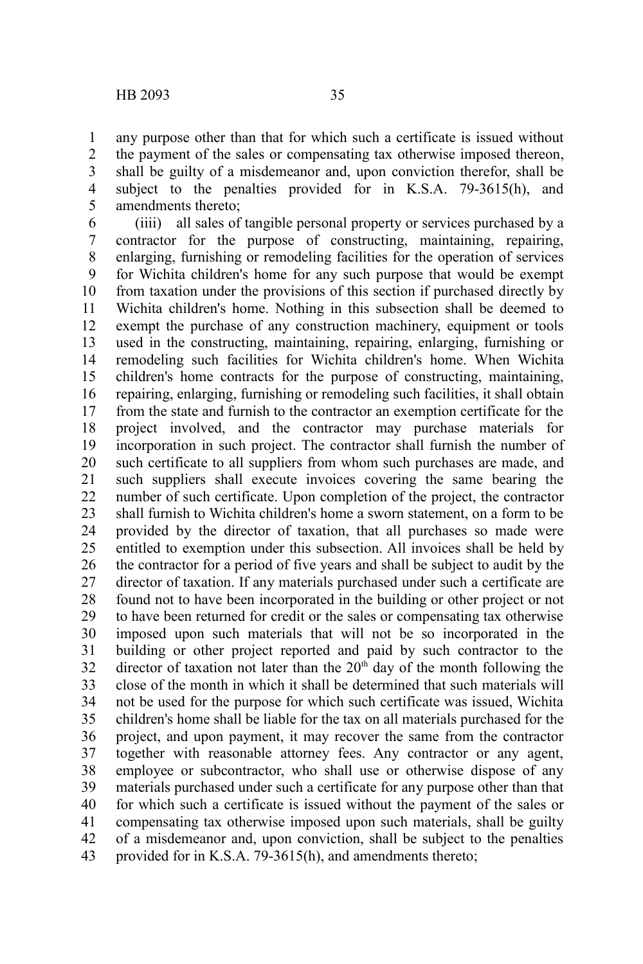any purpose other than that for which such a certificate is issued without the payment of the sales or compensating tax otherwise imposed thereon, shall be guilty of a misdemeanor and, upon conviction therefor, shall be subject to the penalties provided for in K.S.A. 79-3615(h), and amendments thereto; 1 2 3 4 5

(iiii) all sales of tangible personal property or services purchased by a contractor for the purpose of constructing, maintaining, repairing, enlarging, furnishing or remodeling facilities for the operation of services for Wichita children's home for any such purpose that would be exempt from taxation under the provisions of this section if purchased directly by Wichita children's home. Nothing in this subsection shall be deemed to exempt the purchase of any construction machinery, equipment or tools used in the constructing, maintaining, repairing, enlarging, furnishing or remodeling such facilities for Wichita children's home. When Wichita children's home contracts for the purpose of constructing, maintaining, repairing, enlarging, furnishing or remodeling such facilities, it shall obtain from the state and furnish to the contractor an exemption certificate for the project involved, and the contractor may purchase materials for incorporation in such project. The contractor shall furnish the number of such certificate to all suppliers from whom such purchases are made, and such suppliers shall execute invoices covering the same bearing the number of such certificate. Upon completion of the project, the contractor shall furnish to Wichita children's home a sworn statement, on a form to be provided by the director of taxation, that all purchases so made were entitled to exemption under this subsection. All invoices shall be held by the contractor for a period of five years and shall be subject to audit by the director of taxation. If any materials purchased under such a certificate are found not to have been incorporated in the building or other project or not to have been returned for credit or the sales or compensating tax otherwise imposed upon such materials that will not be so incorporated in the building or other project reported and paid by such contractor to the director of taxation not later than the  $20<sup>th</sup>$  day of the month following the close of the month in which it shall be determined that such materials will not be used for the purpose for which such certificate was issued, Wichita children's home shall be liable for the tax on all materials purchased for the project, and upon payment, it may recover the same from the contractor together with reasonable attorney fees. Any contractor or any agent, employee or subcontractor, who shall use or otherwise dispose of any materials purchased under such a certificate for any purpose other than that for which such a certificate is issued without the payment of the sales or compensating tax otherwise imposed upon such materials, shall be guilty of a misdemeanor and, upon conviction, shall be subject to the penalties provided for in K.S.A. 79-3615(h), and amendments thereto; 6 7 8 9 10 11 12 13 14 15 16 17 18 19 20 21 22 23 24 25 26 27 28 29 30 31 32 33 34 35 36 37 38 39 40 41 42 43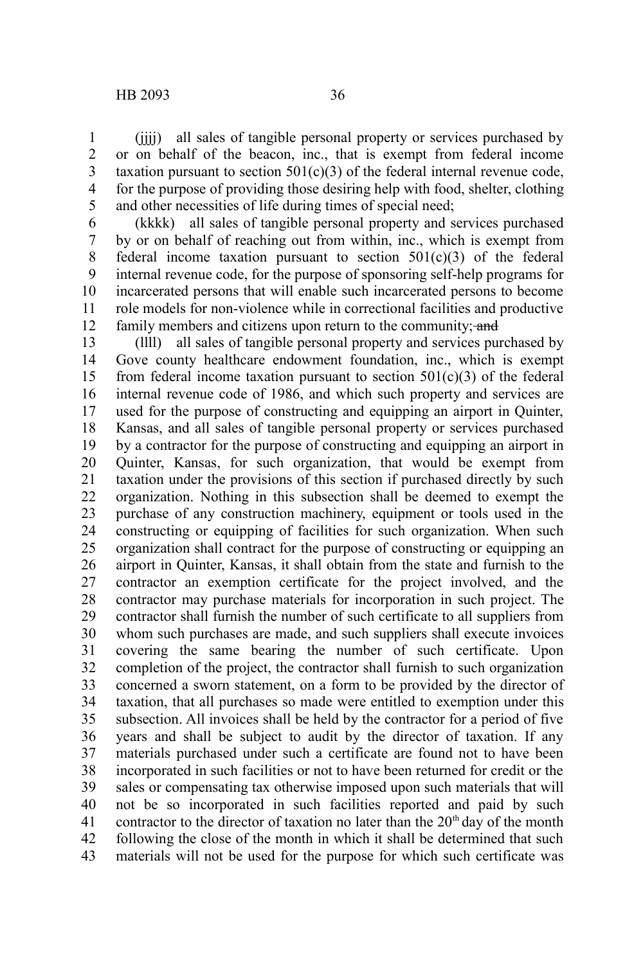(iiii) all sales of tangible personal property or services purchased by or on behalf of the beacon, inc., that is exempt from federal income taxation pursuant to section  $501(c)(3)$  of the federal internal revenue code, for the purpose of providing those desiring help with food, shelter, clothing and other necessities of life during times of special need; 1 2 3 4 5

(kkkk) all sales of tangible personal property and services purchased by or on behalf of reaching out from within, inc., which is exempt from federal income taxation pursuant to section  $501(c)(3)$  of the federal internal revenue code, for the purpose of sponsoring self-help programs for incarcerated persons that will enable such incarcerated persons to become role models for non-violence while in correctional facilities and productive family members and citizens upon return to the community; and 6 7 8 9 10 11 12

(llll) all sales of tangible personal property and services purchased by Gove county healthcare endowment foundation, inc., which is exempt from federal income taxation pursuant to section  $501(c)(3)$  of the federal internal revenue code of 1986, and which such property and services are used for the purpose of constructing and equipping an airport in Quinter, Kansas, and all sales of tangible personal property or services purchased by a contractor for the purpose of constructing and equipping an airport in Quinter, Kansas, for such organization, that would be exempt from taxation under the provisions of this section if purchased directly by such organization. Nothing in this subsection shall be deemed to exempt the purchase of any construction machinery, equipment or tools used in the constructing or equipping of facilities for such organization. When such organization shall contract for the purpose of constructing or equipping an airport in Quinter, Kansas, it shall obtain from the state and furnish to the contractor an exemption certificate for the project involved, and the contractor may purchase materials for incorporation in such project. The contractor shall furnish the number of such certificate to all suppliers from whom such purchases are made, and such suppliers shall execute invoices covering the same bearing the number of such certificate. Upon completion of the project, the contractor shall furnish to such organization concerned a sworn statement, on a form to be provided by the director of taxation, that all purchases so made were entitled to exemption under this subsection. All invoices shall be held by the contractor for a period of five years and shall be subject to audit by the director of taxation. If any materials purchased under such a certificate are found not to have been incorporated in such facilities or not to have been returned for credit or the sales or compensating tax otherwise imposed upon such materials that will not be so incorporated in such facilities reported and paid by such contractor to the director of taxation no later than the  $20<sup>th</sup>$  day of the month following the close of the month in which it shall be determined that such materials will not be used for the purpose for which such certificate was 13 14 15 16 17 18 19 20 21 22 23 24 25 26 27 28 29 30 31 32 33 34 35 36 37 38 39 40 41 42 43